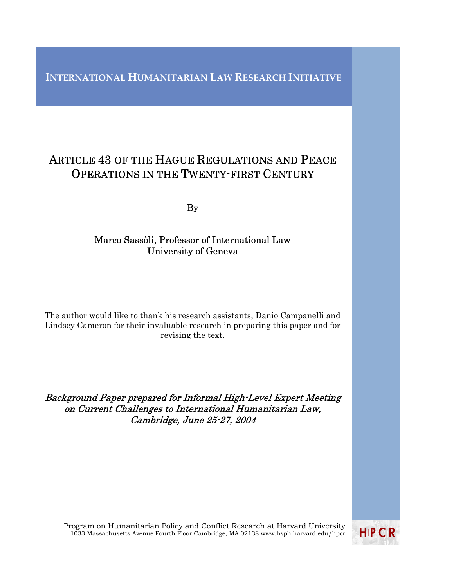# **INTERNATIONAL HUMANITARIAN LAW RESEARCH INITIATIVE**

# ARTICLE 43 OF THE HAGUE REGULATIONS AND PEACE OPERATIONS IN THE TWENTY-FIRST CENTURY

By

# Marco Sassòli, Professor of International Law University of Geneva

The author would like to thank his research assistants, Danio Campanelli and Lindsey Cameron for their invaluable research in preparing this paper and for revising the text.

Background Paper prepared for Informal High-Level Expert Meeting on Current Challenges to International Humanitarian Law, Cambridge, June 25-27, 2004

Program on Humanitarian Policy and Conflict Research at Harvard University 1033 Massachusetts Avenue Fourth Floor Cambridge, MA 02138 www.hsph.harvard.edu/hpcr

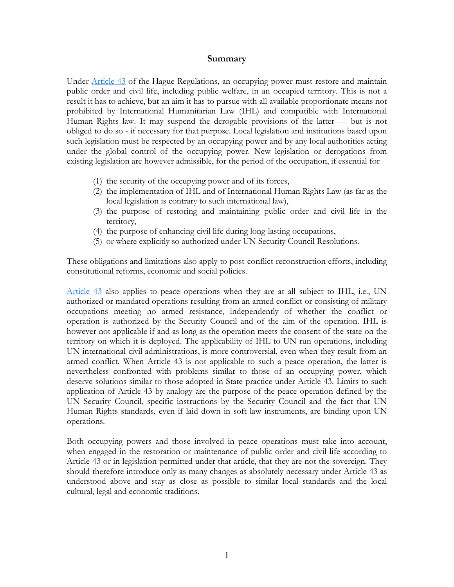## **Summary**

Under Article 43 of the Hague Regulations, an occupying power must restore and maintain public order and civil life, including public welfare, in an occupied territory. This is not a result it has to achieve, but an aim it has to pursue with all available proportionate means not prohibited by International Humanitarian Law (IHL) and compatible with International Human Rights law. It may suspend the derogable provisions of the latter — but is not obliged to do so - if necessary for that purpose. Local legislation and institutions based upon such legislation must be respected by an occupying power and by any local authorities acting under the global control of the occupying power. New legislation or derogations from existing legislation are however admissible, for the period of the occupation, if essential for

- (1) the security of the occupying power and of its forces,
- (2) the implementation of IHL and of International Human Rights Law (as far as the local legislation is contrary to such international law),
- (3) the purpose of restoring and maintaining public order and civil life in the territory,
- (4) the purpose of enhancing civil life during long-lasting occupations,
- (5) or where explicitly so authorized under UN Security Council Resolutions.

These obligations and limitations also apply to post-conflict reconstruction efforts, including constitutional reforms, economic and social policies.

Article  $43$  also applies to peace operations when they are at all subject to IHL, i.e., UN authorized or mandated operations resulting from an armed conflict or consisting of military occupations meeting no armed resistance, independently of whether the conflict or operation is authorized by the Security Council and of the aim of the operation. IHL is however not applicable if and as long as the operation meets the consent of the state on the territory on which it is deployed. The applicability of IHL to UN run operations, including UN international civil administrations, is more controversial, even when they result from an armed conflict. When Article 43 is not applicable to such a peace operation, the latter is nevertheless confronted with problems similar to those of an occupying power, which deserve solutions similar to those adopted in State practice under Article 43. Limits to such application of Article 43 by analogy are the purpose of the peace operation defined by the UN Security Council, specific instructions by the Security Council and the fact that UN Human Rights standards, even if laid down in soft law instruments, are binding upon UN operations.

Both occupying powers and those involved in peace operations must take into account, when engaged in the restoration or maintenance of public order and civil life according to Article 43 or in legislation permitted under that article, that they are not the sovereign. They should therefore introduce only as many changes as absolutely necessary under Article 43 as understood above and stay as close as possible to similar local standards and the local cultural, legal and economic traditions.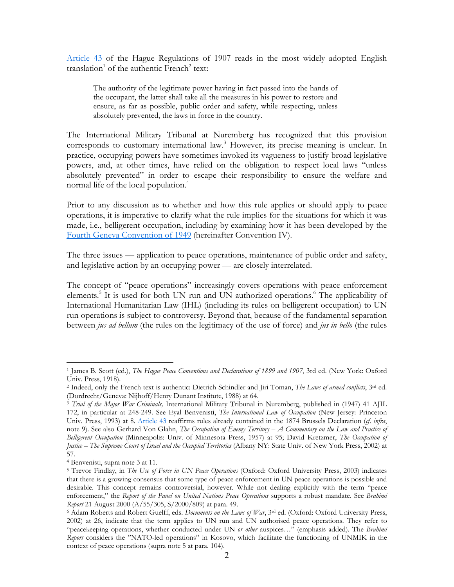Article 43 of the Hague Regulations of 1907 reads in the most widely adopted English translation<sup>[1](#page-2-0)</sup> of the authentic French<sup>2</sup> text:

The authority of the legitimate power having in fact passed into the hands of the occupant, the latter shall take all the measures in his power to restore and ensure, as far as possible, public order and safety, while respecting, unless absolutely prevented, the laws in force in the country.

The International Military Tribunal at Nuremberg has recognized that this provision corresponds to customary international law.<sup>[3](#page-2-2)</sup> However, its precise meaning is unclear. In practice, occupying powers have sometimes invoked its vagueness to justify broad legislative powers, and, at other times, have relied on the obligation to respect local laws "unless absolutely prevented" in order to escape their responsibility to ensure the welfare and normal life of the local population.<sup>[4](#page-2-3)</sup>

Prior to any discussion as to whether and how this rule applies or should apply to peace operations, it is imperative to clarify what the rule implies for the situations for which it was made, i.e., belligerent occupation, including by examining how it has been developed by the Fourth Geneva Convention of 1949 (hereinafter Convention IV).

The three issues — application to peace operations, maintenance of public order and safety, and legislative action by an occupying power — are closely interrelated.

The concept of "peace operations" increasingly covers operations with peace enforcement elements.<sup>[5](#page-2-4)</sup> It is used for both UN run and UN authorized operations.<sup>6</sup> The applicability of International Humanitarian Law (IHL) (including its rules on belligerent occupation) to UN run operations is subject to controversy. Beyond that, because of the fundamental separation between *jus ad bellum* (the rules on the legitimacy of the use of force) and *jus in bello* (the rules

<span id="page-2-0"></span><sup>1</sup> James B. Scott (ed.), *The Hague Peace Conventions and Declarations of 1899 and 1907*, 3rd ed. (New York: Oxford Univ. Press, 1918).

<span id="page-2-1"></span><sup>&</sup>lt;sup>2</sup> Indeed, only the French text is authentic: Dietrich Schindler and Jiri Toman, *The Laws of armed conflicts*, <sup>3rd</sup> ed.

<span id="page-2-2"></span><sup>(</sup>Dordrecht/Geneva: Nijhoff/Henry Dunant Institute, 1988) at 64. 3 *Trial of the Major War Criminals,* International Military Tribunal in Nuremberg, published in (1947) 41 AJIL 172, in particular at 248-249. See Eyal Benvenisti, *The International Law of Occupation* (New Jersey: Princeton Univ. Press, 1993) at 8. Article 43 reaffirms rules already contained in the 1874 Brussels Declaration (*cf*. *infra*, note 9). See also Gerhard Von Glahn, *The Occupation of Enemy Territory – A Commentary on the Law and Practice of Belligerent Occupation* (Minneapolis: Univ. of Minnesota Press, 1957) at 95; David Kretzmer, *The Occupation of Justice – The Supreme Court of Israel and the Occupied Territories* (Albany NY: State Univ. of New York Press, 2002) at 57.

<span id="page-2-3"></span><sup>4</sup> Benvenisti, supra note 3 at 11.

<span id="page-2-4"></span><sup>5</sup> Trevor Findlay, in *The Use of Force in UN Peace Operations* (Oxford: Oxford University Press, 2003) indicates that there is a growing consensus that some type of peace enforcement in UN peace operations is possible and desirable. This concept remains controversial, however. While not dealing explicitly with the term "peace enforcement," the *Report of the Panel on United Nations Peace Operations* supports a robust mandate. See *Brahimi Report* 21 August 2000 (A/55/305, S/2000/809) at para. 49.<br><sup>6</sup> Adam Roberts and Robert Guelff, eds. *Documents on the Laws of War*, 3<sup>rd</sup> ed. (Oxford: Oxford University Press,

<span id="page-2-5"></span><sup>2002)</sup> at 26, indicate that the term applies to UN run and UN authorised peace operations. They refer to "peacekeeping operations, whether conducted under UN *or other* auspices…" (emphasis added). The *Brahimi Report* considers the "NATO-led operations" in Kosovo, which facilitate the functioning of UNMIK in the context of peace operations (supra note 5 at para. 104).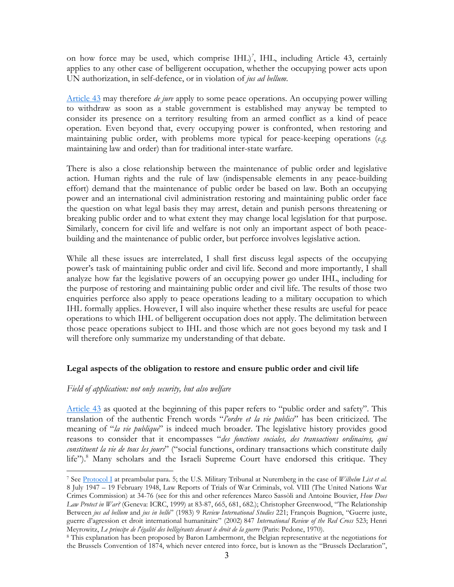<span id="page-3-1"></span>on how force may be used, which comprise IHL)*[7](#page-3-0)* , IHL, including Article 43, certainly applies to any other case of belligerent occupation, whether the occupying power acts upon UN authorization, in self-defence, or in violation of *jus ad bellum*.

Article 43 may therefore *de jure* apply to some peace operations. An occupying power willing to withdraw as soon as a stable government is established may anyway be tempted to consider its presence on a territory resulting from an armed conflict as a kind of peace operation. Even beyond that, every occupying power is confronted, when restoring and maintaining public order, with problems more typical for peace-keeping operations (*e.g.* maintaining law and order) than for traditional inter-state warfare.

There is also a close relationship between the maintenance of public order and legislative action. Human rights and the rule of law (indispensable elements in any peace-building effort) demand that the maintenance of public order be based on law. Both an occupying power and an international civil administration restoring and maintaining public order face the question on what legal basis they may arrest, detain and punish persons threatening or breaking public order and to what extent they may change local legislation for that purpose. Similarly, concern for civil life and welfare is not only an important aspect of both peacebuilding and the maintenance of public order, but perforce involves legislative action.

While all these issues are interrelated, I shall first discuss legal aspects of the occupying power's task of maintaining public order and civil life. Second and more importantly, I shall analyze how far the legislative powers of an occupying power go under IHL, including for the purpose of restoring and maintaining public order and civil life. The results of those two enquiries perforce also apply to peace operations leading to a military occupation to which IHL formally applies. However, I will also inquire whether these results are useful for peace operations to which IHL of belligerent occupation does not apply. The delimitation between those peace operations subject to IHL and those which are not goes beyond my task and I will therefore only summarize my understanding of that debate.

# **Legal aspects of the obligation to restore and ensure public order and civil life**

# *Field of application: not only security, but also welfare*

Article 43 as quoted at the beginning of this paper refers to "public order and safety". This translation of the authentic French words "*l'ordre et la vie publics*" has been criticized. The meaning of "*la vie publique*" is indeed much broader. The legislative history provides good reasons to consider that it encompasses "*des fonctions sociales, des transactions ordinaires, qui constituent la vie de tous les jours*" ("social functions, ordinary transactions which constitute daily life").<sup>[8](#page-3-1)</sup> Many scholars and the Israeli Supreme Court have endorsed this critique. They

<span id="page-3-0"></span> $\overline{a}$ 7 See Protocol I at preambular para. 5; the U.S. Military Tribunal at Nuremberg in the case of *Wilhelm List et al.* 8 July 1947 – 19 February 1948, Law Reports of Trials of War Criminals, vol. VIII (The United Nations War Crimes Commission) at 34-76 (see for this and other references Marco Sassòli and Antoine Bouvier, *How Does Law Protect in War?* (Geneva: ICRC, 1999) at 83-87, 665, 681, 682.); Christopher Greenwood, "The Relationship Between *jus ad bellum* and *jus in bello*" (1983) 9 *Review International Studies* 221; François Bugnion, "Guerre juste, guerre d'agression et droit international humanitaire" (2002) 847 *International Review of the Red Cross* 523; Henri Meyrowitz, *Le principe de l'égalité des belligérants devant le droit de la guerre* (Paris: Pedone, 1970).<br><sup>8</sup> This explanation has been proposed by Baron Lambermont, the Belgian representative at the negotiations for

the Brussels Convention of 1874, which never entered into force, but is known as the "Brussels Declaration",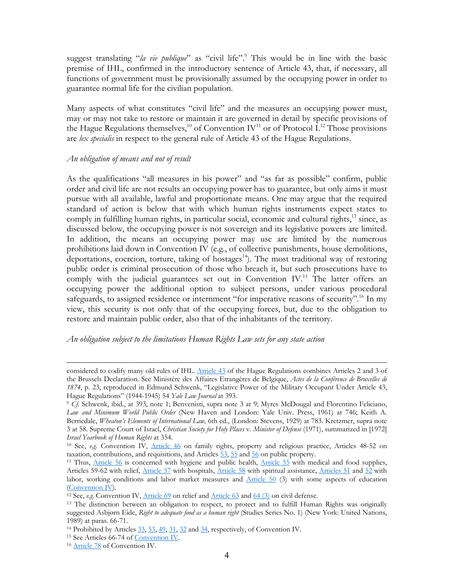suggest translating "*la vie publique*" as "civil life".<sup>[9](#page-4-0)</sup> This would be in line with the basic premise of IHL, confirmed in the introductory sentence of Article 43, that, if necessary, all functions of government must be provisionally assumed by the occupying power in order to guarantee normal life for the civilian population.

Many aspects of what constitutes "civil life" and the measures an occupying power must, may or may not take to restore or maintain it are governed in detail by specific provisions of the Hague Regulations themselves,<sup>10</sup> of Convention IV<sup>11</sup> or of Protocol I.<sup>12</sup> Those provisions are *lex specialis* in respect to the general rule of Article 43 of the Hague Regulations.

## *An obligation of means and not of result*

As the qualifications "all measures in his power" and "as far as possible" confirm, public order and civil life are not results an occupying power has to guarantee, but only aims it must pursue with all available, lawful and proportionate means. One may argue that the required standard of action is below that with which human rights instruments expect states to comply in fulfilling human rights, in particular social, economic and cultural rights, $^{13}$  since, as discussed below, the occupying power is not sovereign and its legislative powers are limited. In addition, the means an occupying power may use are limited by the numerous prohibitions laid down in Convention IV (e.g., of collective punishments, house demolitions, deportations, coercion, torture, taking of hostages<sup>14</sup>). The most traditional way of restoring public order is criminal prosecution of those who breach it, but such prosecutions have to comply with the judicial guarantees set out in Convention IV.<sup>15</sup> The latter offers an occupying power the additional option to subject persons, under various procedural safeguards, to assigned residence or internment "for imperative reasons of security".<sup>16</sup> In my view, this security is not only that of the occupying forces, but, due to the obligation to restore and maintain public order, also that of the inhabitants of the territory.

#### *An obligation subject to the limitations Human Rights Law sets for any state action*

considered to codify many old rules of IHL. Article 43 of the Hague Regulations combines Articles 2 and 3 of the Brussels Declaration. See Ministère des Affaires Etrangères de Belgique, *Actes de la Conférence de Bruxelles de 1874*, p. 23, reproduced in Edmund Schwenk, "Legislative Power of the Military Occupant Under Article 43, Hague Regulations" (1944-1945) 54 *Yale Law Journal* at 393.<br><sup>9</sup> *Cf.* Schwenk, ibid., at 393, note 1; Benvenisti, supra note 3 at 9; Myres McDougal and Florentino Feliciano,

<span id="page-4-0"></span>*Law and Minimum World Public Order* (New Haven and London: Yale Univ. Press, 1961) at 746; Keith A. Berriedale, *Wheaton's Elements of International Law,* 6th ed., (London: Stevens, 1929) at 783. Kretzmer, supra note 3 at 58. Supreme Court of Israel, *Christian Society for Holy Places* v. *Minister of Defense* (1971), summarized in [1972] *Israel Yearbook of Human Rights* at 354.<br><sup>10</sup> See, *e.g.* Convention IV, Article 46 on family rights, property and religious practice, Articles 48-52 on

<span id="page-4-1"></span>taxation, contributions, and requisitions, and Articles  $\frac{53}{25}$ ,  $\frac{55}{25}$  and  $\frac{56}{20}$  on public property.<br><sup>11</sup> Thus, Article 56 is concerned with hygiene and public health, Article 55 with medical and food supp

<span id="page-4-2"></span>Articles 59-62 with relief, Article 57 with hospitals, Article 58 with spiritual assistance, Articles 51 and 52 with labor, working conditions and labor market measures and Article 50 (3) with some aspects of education (Convention IV).<br><sup>12</sup> See, *e.g.* Convention IV, <u>Article 69</u> on relief and <u>Article 63</u> and <u>64 (3)</u> on civil defense.<br><sup>13</sup> The distinction between an obligation to respect, to protect and to fulfill Human Rights was ori

<span id="page-4-3"></span>

<span id="page-4-4"></span>suggested Asbjørn Eide, *Right to adequate food as a human right* (Studies Series No. 1) (New York: United Nations, 1989) at paras. 66-71.

<span id="page-4-5"></span><sup>&</sup>lt;sup>14</sup> Prohibited by Articles  $33$ ,  $53$ ,  $49$ ,  $31$ ,  $32$  and  $34$ , respectively, of Convention IV.<br><sup>15</sup> See Articles 66-74 of <u>Convention IV</u>.<br><sup>16</sup> Article 78 of Convention IV.

<span id="page-4-6"></span>

<span id="page-4-7"></span>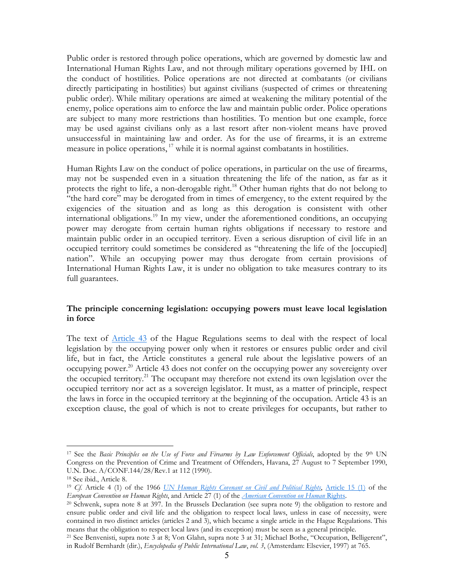Public order is restored through police operations, which are governed by domestic law and International Human Rights Law, and not through military operations governed by IHL on the conduct of hostilities. Police operations are not directed at combatants (or civilians directly participating in hostilities) but against civilians (suspected of crimes or threatening public order). While military operations are aimed at weakening the military potential of the enemy, police operations aim to enforce the law and maintain public order. Police operations are subject to many more restrictions than hostilities. To mention but one example, force may be used against civilians only as a last resort after non-violent means have proved unsuccessful in maintaining law and order. As for the use of firearms, it is an extreme measure in police operations,<sup>17</sup> while it is normal against combatants in hostilities.

Human Rights Law on the conduct of police operations, in particular on the use of firearms, may not be suspended even in a situation threatening the life of the nation, as far as it protects the right to life, a non-derogable right.<sup>18</sup> Other human rights that do not belong to "the hard core" may be derogated from in times of emergency, to the extent required by the exigencies of the situation and as long as this derogation is consistent with other international obligations.<sup>19</sup> In my view, under the aforementioned conditions, an occupying power may derogate from certain human rights obligations if necessary to restore and maintain public order in an occupied territory. Even a serious disruption of civil life in an occupied territory could sometimes be considered as "threatening the life of the [occupied] nation". While an occupying power may thus derogate from certain provisions of International Human Rights Law, it is under no obligation to take measures contrary to its full guarantees.

## **The principle concerning legislation: occupying powers must leave local legislation in force**

The text of **Article 43** of the Hague Regulations seems to deal with the respect of local legislation by the occupying power only when it restores or ensures public order and civil life, but in fact, the Article constitutes a general rule about the legislative powers of an occupying power.<sup>20</sup> Article 43 does not confer on the occupying power any sovereignty over the occupied territory.<sup>21</sup> The occupant may therefore not extend its own legislation over the occupied territory nor act as a sovereign legislator. It must, as a matter of principle, respect the laws in force in the occupied territory at the beginning of the occupation. Article 43 is an exception clause, the goal of which is not to create privileges for occupants, but rather to

<span id="page-5-0"></span><sup>&</sup>lt;sup>17</sup> See the *Basic Principles on the Use of Force and Firearms by Law Enforcement Officials*, adopted by the 9<sup>th</sup> UN Congress on the Prevention of Crime and Treatment of Offenders, Havana, 27 August to 7 September 1990, U.N. Doc. A/CONF.144/28/Rev.1 at 112 (1990). 18 See ibid., Article 8.

<span id="page-5-1"></span>

<span id="page-5-2"></span><sup>&</sup>lt;sup>19</sup> *Cf.* Article 4 (1) of the 1966 *UN Human Rights Covenant on Civil and Political Rights*, Article 15 (1) of the *European Convention on Human Rights*.

<span id="page-5-3"></span><sup>&</sup>lt;sup>20</sup> Schwenk, supra note 8 at 397. In the Brussels Declaration (see supra note 9) the obligation to restore and ensure public order and civil life and the obligation to respect local laws, unless in case of necessity, were contained in two distinct articles (articles 2 and 3), which became a single article in the Hague Regulations. This means that the obligation to respect local laws (and its exception) must be seen as a general principle.<br><sup>21</sup> See Benvenisti, supra note 3 at 8; Von Glahn, supra note 3 at 31; Michael Bothe, "Occupation, Belligerent",

<span id="page-5-4"></span>in Rudolf Bernhardt (dir.), *Encyclopedia of Public International Law*, *vol. 3*, (Amsterdam: Elsevier, 1997) at 765.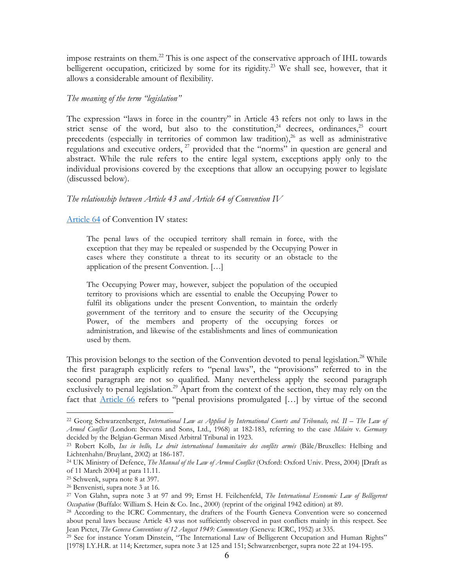impose restraints on them[.22](#page-6-0) This is one aspect of the conservative approach of IHL towards belligerent occupation, criticized by some for its rigidity.<sup>23</sup> We shall see, however, that it allows a considerable amount of flexibility.

#### *The meaning of the term "legislation"*

The expression "laws in force in the country" in Article 43 refers not only to laws in the strict sense of the word, but also to the constitution,<sup>24</sup> decrees, ordinances,<sup>25</sup> court precedents (especially in territories of common law tradition),<sup>26</sup> as well as administrative regulations and executive orders,  $^{27}$  provided that the "norms" in question are general and abstract. While the rule refers to the entire legal system, exceptions apply only to the individual provisions covered by the exceptions that allow an occupying power to legislate (discussed below).

#### *The relationship between Article 43 and Article 64 of Convention IV*

#### Article 64 of Convention IV states:

The penal laws of the occupied territory shall remain in force, with the exception that they may be repealed or suspended by the Occupying Power in cases where they constitute a threat to its security or an obstacle to the application of the present Convention. […]

The Occupying Power may, however, subject the population of the occupied territory to provisions which are essential to enable the Occupying Power to fulfil its obligations under the present Convention, to maintain the orderly government of the territory and to ensure the security of the Occupying Power, of the members and property of the occupying forces or administration, and likewise of the establishments and lines of communication used by them.

This provision belongs to the section of the Convention devoted to penal legislation.<sup>28</sup> While the first paragraph explicitly refers to "penal laws", the "provisions" referred to in the second paragraph are not so qualified. Many nevertheless apply the second paragraph exclusively to penal legislation.<sup>29</sup> Apart from the context of the section, they may rely on the fact that Article 66 refers to "penal provisions promulgated […] by virtue of the second

<span id="page-6-0"></span><sup>22</sup> Georg Schwarzenberger, *International Law as Applied by International Courts and Tribunals, vol. II – The Law of Armed Conflict* (London: Stevens and Sons, Ltd., 1968) at 182-183, referring to the case *Milaire* v*. Germany* decided by the Belgian-German Mixed Arbitral Tribunal in 1923.<br><sup>23</sup> Robert Kolb, *Ius in bello, Le droit international humanitaire des conflits armés* (Bâle/Bruxelles: Helbing and

<span id="page-6-1"></span>Lichtenhahn/Bruylant, 2002) at 186-187.

<span id="page-6-2"></span><sup>24</sup> UK Ministry of Defence, *The Manual of the Law of Armed Conflict* (Oxford: Oxford Univ. Press, 2004) [Draft as of 11 March 2004] at para 11.11.

<span id="page-6-3"></span><sup>25</sup> Schwenk, supra note 8 at 397.

<span id="page-6-4"></span><sup>26</sup> Benvenisti, supra note 3 at 16.

<span id="page-6-5"></span><sup>27</sup> Von Glahn, supra note 3 at 97 and 99; Ernst H. Feilchenfeld, *The International Economic Law of Belligerent Occupation* (Buffalo: William S. Hein & Co. Inc., 2000) (reprint of the original 1942 edition) at 89.<br><sup>28</sup> According to the ICRC Commentary, the drafters of the Fourth Geneva Convention were so concerned

<span id="page-6-6"></span>about penal laws because Article 43 was not sufficiently observed in past conflicts mainly in this respect. See Jean Pictet, *The Geneva Conventions of 12 August 1949: Commentary* (Geneva: ICRC, 1952) at 335.<br><sup>29</sup> See for instance Yoram Dinstein, "The International Law of Belligerent Occupation and Human Rights"

<span id="page-6-7"></span><sup>[1978]</sup> I.Y.H.R. at 114; Kretzmer, supra note 3 at 125 and 151; Schwarzenberger, supra note 22 at 194-195.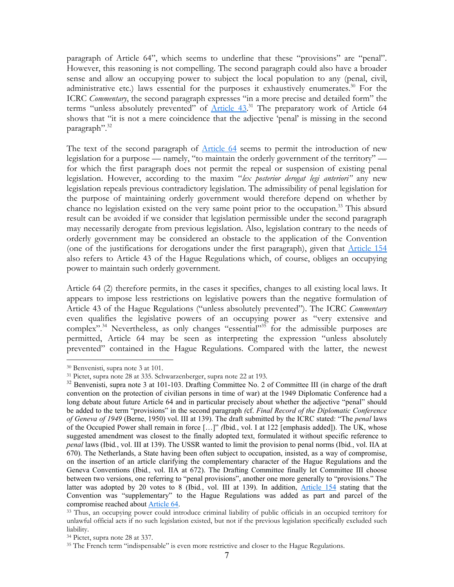paragraph of Article 64", which seems to underline that these "provisions" are "penal". However, this reasoning is not compelling. The second paragraph could also have a broader sense and allow an occupying power to subject the local population to any (penal, civil, administrative etc.) laws essential for the purposes it exhaustively enumerates.<sup>30</sup> For the ICRC *Commentary*, the second paragraph expresses "in a more precise and detailed form" the terms "unless absolutely prevented" of **Article 43.**<sup>31</sup> The preparatory work of Article 64 shows that "it is not a mere coincidence that the adjective 'penal' is missing in the second paragraph".<sup>32</sup>

The text of the second paragraph of **Article 64** seems to permit the introduction of new legislation for a purpose — namely, "to maintain the orderly government of the territory" for which the first paragraph does not permit the repeal or suspension of existing penal legislation. However, according to the maxim "*lex posterior derogat legi anteriori"* any new legislation repeals previous contradictory legislation. The admissibility of penal legislation for the purpose of maintaining orderly government would therefore depend on whether by chance no legislation existed on the very same point prior to the occupation.<sup>33</sup> This absurd result can be avoided if we consider that legislation permissible under the second paragraph may necessarily derogate from previous legislation. Also, legislation contrary to the needs of orderly government may be considered an obstacle to the application of the Convention (one of the justifications for derogations under the first paragraph), given that Article 154 also refers to Article 43 of the Hague Regulations which, of course, obliges an occupying power to maintain such orderly government.

Article 64 (2) therefore permits, in the cases it specifies, changes to all existing local laws. It appears to impose less restrictions on legislative powers than the negative formulation of Article 43 of the Hague Regulations ("unless absolutely prevented"). The ICRC *Commentary* even qualifies the legislative powers of an occupying power as "very extensive and complex".<sup>34</sup> Nevertheless, as only changes "essential"<sup>35</sup> for the admissible purposes are permitted, Article 64 may be seen as interpreting the expression "unless absolutely prevented" contained in the Hague Regulations. Compared with the latter, the newest

<span id="page-7-1"></span><span id="page-7-0"></span>

 $30$  Benvenisti, supra note 3 at 101.<br> $31$  Pictet, supra note 28 at 335. Schwarzenberger, supra note 22 at 193.

<span id="page-7-2"></span><sup>&</sup>lt;sup>32</sup> Benvenisti, supra note 3 at 101-103. Drafting Committee No. 2 of Committee III (in charge of the draft convention on the protection of civilian persons in time of war) at the 1949 Diplomatic Conference had a long debate about future Article 64 and in particular precisely about whether the adjective "penal" should be added to the term "provisions" in the second paragraph *(*cf. *Final Record of the Diplomatic Conference of Geneva of 1949* (Berne, 1950) vol. III at 139). The draft submitted by the ICRC stated: "The *penal* laws of the Occupied Power shall remain in force […]" *(*Ibid*.*, vol. I at 122 [emphasis added]). The UK, whose suggested amendment was closest to the finally adopted text, formulated it without specific reference to *penal* laws (Ibid*.*, vol. III at 139). The USSR wanted to limit the provision to penal norms (Ibid*.*, vol. IIA at 670). The Netherlands, a State having been often subject to occupation, insisted, as a way of compromise, on the insertion of an article clarifying the complementary character of the Hague Regulations and the Geneva Conventions (Ibid*.,* vol. IIA at 672). The Drafting Committee finally let Committee III choose between two versions, one referring to "penal provisions", another one more generally to "provisions." The latter was adopted by 20 votes to 8 (Ibid*.*, vol. III at 139). In addition, Article 154 stating that the Convention was "supplementary" to the Hague Regulations was added as part and parcel of the compromise reached about Article 64.

<span id="page-7-3"></span><sup>&</sup>lt;sup>33</sup> Thus, an occupying power could introduce criminal liability of public officials in an occupied territory for unlawful official acts if no such legislation existed, but not if the previous legislation specifically excluded such liability.

<span id="page-7-4"></span><sup>34</sup> Pictet, supra note 28 at 337.

<span id="page-7-5"></span><sup>&</sup>lt;sup>35</sup> The French term "indispensable" is even more restrictive and closer to the Hague Regulations.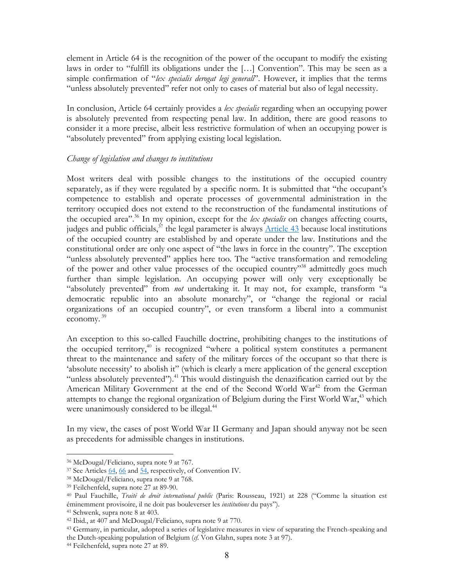element in Article 64 is the recognition of the power of the occupant to modify the existing laws in order to "fulfill its obligations under the […] Convention". This may be seen as a simple confirmation of "*lex specialis derogat legi generali*". However, it implies that the terms "unless absolutely prevented" refer not only to cases of material but also of legal necessity.

In conclusion, Article 64 certainly provides a *lex specialis* regarding when an occupying power is absolutely prevented from respecting penal law. In addition, there are good reasons to consider it a more precise, albeit less restrictive formulation of when an occupying power is "absolutely prevented" from applying existing local legislation.

# *Change of legislation and changes to institutions*

Most writers deal with possible changes to the institutions of the occupied country separately, as if they were regulated by a specific norm. It is submitted that "the occupant's competence to establish and operate processes of governmental administration in the territory occupied does not extend to the reconstruction of the fundamental institutions of the occupied area"[.36](#page-8-0) In my opinion, except for the *lex specialis* on changes affecting courts, judges and public officials,  $37$  the legal parameter is always  $\frac{\text{Article } 43}{\text{Total}}$  because local institutions of the occupied country are established by and operate under the law. Institutions and the constitutional order are only one aspect of "the laws in force in the country". The exception "unless absolutely prevented" applies here too. The "active transformation and remodeling of the power and other value processes of the occupied country"<sup>38</sup> admittedly goes much further than simple legislation. An occupying power will only very exceptionally be "absolutely prevented" from *not* undertaking it. It may not, for example, transform "a democratic republic into an absolute monarchy", or "change the regional or racial organizations of an occupied country", or even transform a liberal into a communist economy. [39](#page-8-3)

An exception to this so-called Fauchille doctrine, prohibiting changes to the institutions of the occupied territory, $40$  is recognized "where a political system constitutes a permanent threat to the maintenance and safety of the military forces of the occupant so that there is 'absolute necessity' to abolish it" (which is clearly a mere application of the general exception "unless absolutely prevented").<sup>41</sup> This would distinguish the denazification carried out by the American Military Government at the end of the Second World War<sup>42</sup> from the German attempts to change the regional organization of Belgium during the First World War,<sup>43</sup> which were unanimously considered to be illegal.<sup>44</sup>

In my view, the cases of post World War II Germany and Japan should anyway not be seen as precedents for admissible changes in institutions.

<span id="page-8-1"></span><span id="page-8-0"></span>

<sup>&</sup>lt;sup>36</sup> McDougal/Feliciano, supra note 9 at 767.<br><sup>37</sup> See Articles <u>64, 66</u> and <u>54</u>, respectively, of Convention IV.<br><sup>38</sup> McDougal/Feliciano, supra note 9 at 768.<br><sup>39</sup> Feilchenfeld, supra note 27 at 89-90.

<span id="page-8-2"></span>

<span id="page-8-3"></span>

<span id="page-8-4"></span><sup>40</sup> Paul Fauchille, *Traité de droit international public* (Paris: Rousseau, 1921) at 228 ("Comme la situation est éminemment provisoire, il ne doit pas bouleverser les *institutions* du pays"). 41 Schwenk, supra note 8 at 403.

<span id="page-8-5"></span>

<span id="page-8-7"></span><span id="page-8-6"></span><sup>&</sup>lt;sup>42</sup> Ibid., at 407 and McDougal/Feliciano, supra note 9 at 770.<br><sup>43</sup> Germany, in particular, adopted a series of legislative measures in view of separating the French-speaking and the Dutch-speaking population of Belgium (*cf*. Von Glahn, supra note 3 at 97). 44 Feilchenfeld, supra note 27 at 89.

<span id="page-8-8"></span>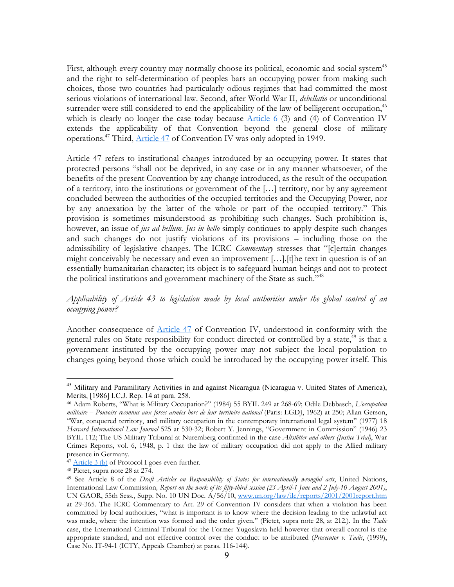First, although every country may normally choose its political, economic and social system<sup>[45](#page-9-0)</sup> and the right to self-determination of peoples bars an occupying power from making such choices, those two countries had particularly odious regimes that had committed the most serious violations of international law. Second, after World War II, *debellatio* or unconditional surrender were still considered to end the applicability of the law of belligerent occupation,<sup>[46](#page-9-1)</sup> which is clearly no longer the case today because  $\Delta$ rticle 6 (3) and (4) of Convention IV extends the applicability of that Convention beyond the general close of military operations.<sup>47</sup> Third, *Article 47* of Convention IV was only adopted in 1949.

Article 47 refers to institutional changes introduced by an occupying power. It states that protected persons "shall not be deprived, in any case or in any manner whatsoever, of the benefits of the present Convention by any change introduced, as the result of the occupation of a territory, into the institutions or government of the […] territory, nor by any agreement concluded between the authorities of the occupied territories and the Occupying Power, nor by any annexation by the latter of the whole or part of the occupied territory." This provision is sometimes misunderstood as prohibiting such changes. Such prohibition is, however, an issue of *jus ad bellum*. *Jus in bello* simply continues to apply despite such changes and such changes do not justify violations of its provisions – including those on the admissibility of legislative changes. The ICRC *Commentary* stresses that "[c]ertain changes might conceivably be necessary and even an improvement […].[t]he text in question is of an essentially humanitarian character; its object is to safeguard human beings and not to protect the political institutions and government machinery of the State as such."<sup>48</sup>

# *Applicability of Article 43 to legislation made by local authorities under the global control of an occupying power?*

Another consequence of Article 47 of Convention IV, understood in conformity with the general rules on State responsibility for conduct directed or controlled by a state,  $49$  is that a government instituted by the occupying power may not subject the local population to changes going beyond those which could be introduced by the occupying power itself. This

1

<span id="page-9-0"></span><sup>&</sup>lt;sup>45</sup> Military and Paramilitary Activities in and against Nicaragua (Nicaragua v. United States of America), Merits, [1986] I.C.J. Rep. 14 at para. 258.

<span id="page-9-1"></span><sup>46</sup> Adam Roberts, "What is Military Occupation?" (1984) 55 BYIL 249 at 268-69; Odile Debbasch, *L'occupation militaire – Pouvoirs reconnus aux forces armées hors de leur territoire national* (Paris: LGDJ, 1962) at 250; Allan Gerson, "War, conquered territory, and military occupation in the contemporary international legal system" (1977) 18 *Harvard International Law Journal* 525 at 530-32; Robert Y. Jennings, "Government in Commission" (1946) 23 BYIL 112; The US Military Tribunal at Nuremberg confirmed in the case *Altstötter and others (Justice Trial)*, War Crimes Reports, vol. 6, 1948, p. 1 that the law of military occupation did not apply to the Allied military presence in Germany.

<span id="page-9-2"></span> $\frac{47 \text{ Article 3 (b)}}{48 \text{ Picture}}$  of Protocol I goes even further.

<span id="page-9-3"></span>

<span id="page-9-4"></span><sup>49</sup> See Article 8 of the *Draft Articles on Responsibility of States for internationally wrongful acts*, United Nations, International Law Commission*, Report on the work of its fifty-third session (23 April-1 June and 2 July-10 August 2001)*, UN GAOR, 55th Sess., Supp. No. 10 UN Doc. A/56/10, www.un.org/law/ilc/reports/2001/2001report.htm at 29-365. The ICRC Commentary to Art. 29 of Convention IV considers that when a violation has been committed by local authorities, "what is important is to know where the decision leading to the unlawful act was made, where the intention was formed and the order given." (Pictet, supra note 28, at 212.). In the *Tadic* case, the International Criminal Tribunal for the Former Yugoslavia held however that overall control is the appropriate standard, and not effective control over the conduct to be attributed (*Prosecutor v. Tadic*, (1999), Case No. IT-94-1 (ICTY, Appeals Chamber) at paras. 116-144).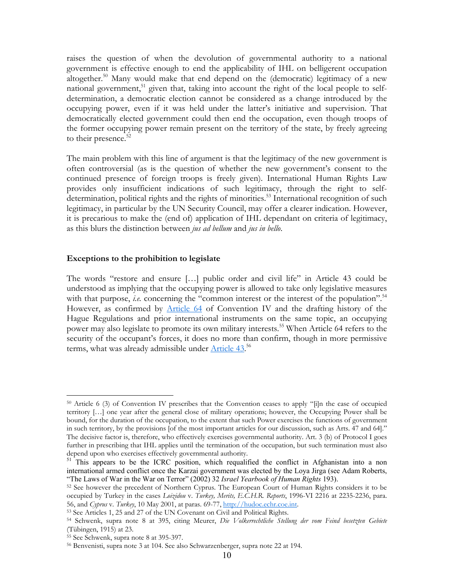raises the question of when the devolution of governmental authority to a national government is effective enough to end the applicability of IHL on belligerent occupation altogether.<sup>50</sup> Many would make that end depend on the (democratic) legitimacy of a new national government,<sup>51</sup> given that, taking into account the right of the local people to selfdetermination, a democratic election cannot be considered as a change introduced by the occupying power, even if it was held under the latter's initiative and supervision. That democratically elected government could then end the occupation, even though troops of the former occupying power remain present on the territory of the state, by freely agreeing to their presence.<sup>52</sup>

The main problem with this line of argument is that the legitimacy of the new government is often controversial (as is the question of whether the new government's consent to the continued presence of foreign troops is freely given). International Human Rights Law provides only insufficient indications of such legitimacy, through the right to selfdetermination, political rights and the rights of minorities.<sup>53</sup> International recognition of such legitimacy, in particular by the UN Security Council, may offer a clearer indication. However, it is precarious to make the (end of) application of IHL dependant on criteria of legitimacy, as this blurs the distinction between *jus ad bellum* and *jus in bello*.

#### **Exceptions to the prohibition to legislate**

The words "restore and ensure […] public order and civil life" in Article 43 could be understood as implying that the occupying power is allowed to take only legislative measures with that purpose, *i.e.* concerning the "common interest or the interest of the population".<sup>[54](#page-10-4)</sup> However, as confirmed by **Article 64** of Convention IV and the drafting history of the Hague Regulations and prior international instruments on the same topic, an occupying power may also legislate to promote its own military interests.<sup>55</sup> When Article 64 refers to the security of the occupant's forces, it does no more than confirm, though in more permissive terms, what was already admissible under Article 43.<sup>[56](#page-10-6)</sup>

<span id="page-10-0"></span><sup>50</sup> Article 6 (3) of Convention IV prescribes that the Convention ceases to apply "[i]n the case of occupied territory […] one year after the general close of military operations; however, the Occupying Power shall be bound, for the duration of the occupation, to the extent that such Power exercises the functions of government in such territory, by the provisions [of the most important articles for our discussion, such as Arts. 47 and 64]." The decisive factor is, therefore, who effectively exercises governmental authority. Art. 3 (b) of Protocol I goes further in prescribing that IHL applies until the termination of the occupation, but such termination must also depend upon who exercises effectively governmental authority.

<span id="page-10-1"></span> $\frac{51}{11}$  This appears to be the ICRC position, which requalified the conflict in Afghanistan into a non international armed conflict once the Karzai government was elected by the Loya Jirga (see Adam Roberts, "The Laws of War in the War on Terror" (2002) 32 *Israel Yearbook of Human Rights* 193).

<span id="page-10-2"></span><sup>52</sup> See however the precedent of Northern Cyprus. The European Court of Human Rights considers it to be occupied by Turkey in the cases *Loizidou* v*. Turkey, Merits, E.C.H.R. Reports*, 1996-VI 2216 at 2235-2236, para. 56, and *Cyprus* v*. Turkey*, 10 May 2001, at paras. 69-77, http://hudoc.echr.coe.int. 53 See Articles 1, 25 and 27 of the UN Covenant on Civil and Political Rights.

<span id="page-10-3"></span>

<span id="page-10-4"></span><sup>54</sup> Schwenk, supra note 8 at 395, citing Meurer, *Die Volkerrechtliche Stellung der vom Feind besetzten Gebiete* (Tübingen, 1915) at 23.

<span id="page-10-5"></span>

<span id="page-10-6"></span><sup>&</sup>lt;sup>56</sup> Benvenisti, supra note 3 at 104. See also Schwarzenberger, supra note 22 at 194.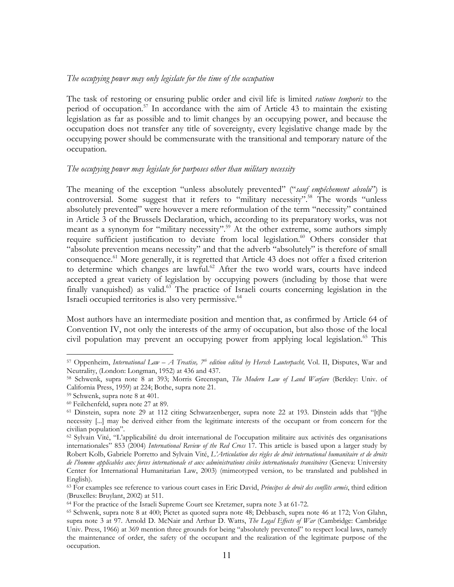#### *The occupying power may only legislate for the time of the occupation*

The task of restoring or ensuring public order and civil life is limited *ratione temporis* to the period of occupation.<sup>57</sup> In accordance with the aim of Article 43 to maintain the existing legislation as far as possible and to limit changes by an occupying power, and because the occupation does not transfer any title of sovereignty, every legislative change made by the occupying power should be commensurate with the transitional and temporary nature of the occupation.

#### *The occupying power may legislate for purposes other than military necessity*

The meaning of the exception "unless absolutely prevented" ("*sauf empêchement absolu*") is controversial. Some suggest that it refers to "military necessity".<sup>58</sup> The words "unless absolutely prevented" were however a mere reformulation of the term "necessity" contained in Article 3 of the Brussels Declaration, which, according to its preparatory works, was not meant as a synonym for "military necessity".<sup>59</sup> At the other extreme, some authors simply require sufficient justification to deviate from local legislation.<sup>60</sup> Others consider that "absolute prevention means necessity" and that the adverb "absolutely" is therefore of small consequence.<sup>61</sup> More generally, it is regretted that Article 43 does not offer a fixed criterion to determine which changes are lawful.<sup>62</sup> After the two world wars, courts have indeed accepted a great variety of legislation by occupying powers (including by those that were finally vanquished) as valid.<sup>63</sup> The practice of Israeli courts concerning legislation in the Israeli occupied territories is also very permissive.<sup>[64](#page-11-7)</sup>

Most authors have an intermediate position and mention that, as confirmed by Article 64 of Convention IV, not only the interests of the army of occupation, but also those of the local civil population may prevent an occupying power from applying local legislation.<sup>65</sup> This

<span id="page-11-0"></span><sup>&</sup>lt;sup>57</sup> Oppenheim, *International Law – A Treatise*,  $7<sup>tb</sup>$  *edition edited by Hersch Lauterpacht*, Vol. II, Disputes, War and Neutrality, (London: Longman, 1952) at 436 and 437.

<span id="page-11-1"></span><sup>58</sup> Schwenk, supra note 8 at 393; Morris Greenspan, *The Modern Law of Land Warfare* (Berkley: Univ. of California Press, 1959) at 224; Bothe, supra note 21. 59 Schwenk, supra note 8 at 401.

<span id="page-11-2"></span>

<span id="page-11-3"></span><sup>60</sup> Feilchenfeld, supra note 27 at 89.

<span id="page-11-4"></span><sup>&</sup>lt;sup>61</sup> Dinstein, supra note 29 at 112 citing Schwarzenberger, supra note 22 at 193. Dinstein adds that "[t]he necessity [...] may be derived either from the legitimate interests of the occupant or from concern for the civilian population".

<span id="page-11-5"></span><sup>62</sup> Sylvain Vité, "L'applicabilité du droit international de l'occupation militaire aux activités des organisations internationales" 853 (2004) *International Review of the Red Cross* 17. This article is based upon a larger study by Robert Kolb, Gabriele Porretto and Sylvain Vité, *L'Articulation des règles de droit international humanitaire et de droits de l'homme applicables aux forces internationale et aux administrations civiles internationales transitoires* (Geneva: University Center for International Humanitarian Law, 2003) (mimeotyped version, to be translated and published in English).

<span id="page-11-6"></span><sup>63</sup> For examples see reference to various court cases in Eric David, *Principes de droit des conflits armés*, third edition

<span id="page-11-7"></span><sup>(</sup>Bruxelles: Bruylant, 2002) at 511.<br><sup>64</sup> For the practice of the Israeli Supreme Court see Kretzmer, supra note 3 at 61-72.

<span id="page-11-8"></span><sup>65</sup> Schwenk, supra note 8 at 400; Pictet as quoted supra note 48; Debbasch, supra note 46 at 172; Von Glahn, supra note 3 at 97. Arnold D. McNair and Arthur D. Watts, *The Legal Effects of War* (Cambridge: Cambridge Univ. Press, 1966) at 369 mention three grounds for being "absolutely prevented" to respect local laws, namely the maintenance of order, the safety of the occupant and the realization of the legitimate purpose of the occupation.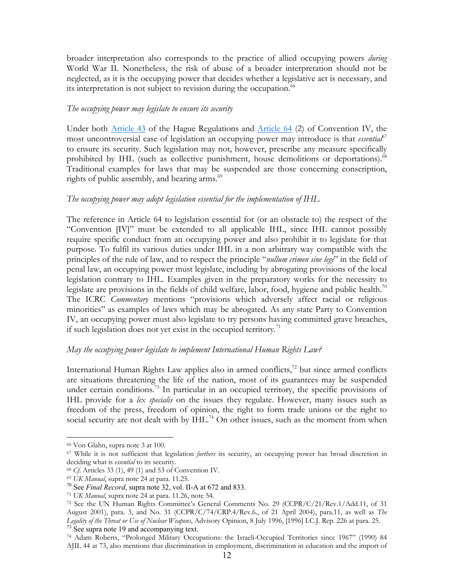<span id="page-12-8"></span>broader interpretation also corresponds to the practice of allied occupying powers *during* World War II. Nonetheless, the risk of abuse of a broader interpretation should not be neglected, as it is the occupying power that decides whether a legislative act is necessary, and its interpretation is not subject to revision during the occupation.<sup>[66](#page-12-0)</sup>

## *The occupying power may legislate to ensure its security*

Under both Article 43 of the Hague Regulations and Article 64 (2) of Convention IV, the most uncontroversial case of legislation an occupying power may introduce is that *essential*<sup>[67](#page-12-1)</sup> to ensure its security. Such legislation may not, however, prescribe any measure specifically prohibited by IHL (such as collective punishment, house demolitions or deportations).<sup>[68](#page-12-2)</sup> Traditional examples for laws that may be suspended are those concerning conscription, rights of public assembly, and bearing arms.<sup>69</sup>

# *The occupying power may adopt legislation essential for the implementation of IHL*

The reference in Article 64 to legislation essential for (or an obstacle to) the respect of the "Convention [IV]" must be extended to all applicable IHL, since IHL cannot possibly require specific conduct from an occupying power and also prohibit it to legislate for that purpose. To fulfil its various duties under IHL in a non arbitrary way compatible with the principles of the rule of law, and to respect the principle "*nullum crimen sine lege*" in the field of penal law, an occupying power must legislate, including by abrogating provisions of the local legislation contrary to IHL. Examples given in the preparatory works for the necessity to legislate are provisions in the fields of child welfare, labor, food, hygiene and public health.<sup>[70](#page-12-4)</sup> The ICRC *Commentary* mentions "provisions which adversely affect racial or religious minorities" as examples of laws which may be abrogated. As any state Party to Convention IV, an occupying power must also legislate to try persons having committed grave breaches, if such legislation does not yet exist in the occupied territory.<sup>71</sup>

# *May the occupying power legislate to implement International Human Rights Law?*

International Human Rights Law applies also in armed conflicts, $72$  but since armed conflicts are situations threatening the life of the nation, most of its guarantees may be suspended under certain conditions.<sup>73</sup> In particular in an occupied territory, the specific provisions of IHL provide for a *lex specialis* on the issues they regulate. However, many issues such as freedom of the press, freedom of opinion, the right to form trade unions or the right to social security are not dealt with by  $IHL<sup>74</sup>$  On other issues, such as the moment from when

<span id="page-12-0"></span><sup>66</sup> Von Glahn, supra note 3 at 100.

<span id="page-12-1"></span><sup>67</sup> While it is not sufficient that legislation *furthers* its security, an occupying power has broad discretion in deciding what is *essential* to its security.<br><sup>68</sup> Cf. Articles 33 (1), 49 (1) and 53 of Convention IV.<br><sup>69</sup> UK *Manual*, supra note 24 at para. 11.25.<br><sup>70</sup> See *Final Record*, supra note 32, vol. II-A at 672 and 833.

<span id="page-12-2"></span>

<span id="page-12-3"></span>

<span id="page-12-4"></span>

<span id="page-12-6"></span><span id="page-12-5"></span>

<sup>&</sup>lt;sup>71</sup> *UK Manual*, supra note 24 at para. 11.26, note 54.<br><sup>72</sup> See the UN Human Rights Committee's General Comments No. 29 (CCPR/C/21/Rev.1/Add.11, of 31 August 2001), para. 3, and No. 31 (CCPR/C/74/CRP.4/Rev.6., of 21 April 2004), para.11, as well as *The Legality of the Threat or Use of Nuclear Weapons*, Advisory Opinion, 8 July 1996, [1996] I.C.J. Rep. 226 at para. 25. <sup>73</sup> See supra note 19 and accompanying text.

<span id="page-12-7"></span><sup>74</sup> Adam Roberts, "Prolonged Military Occupations: the Israeli-Occupied Territories since 1967" (1990) 84 AJIL 44 at 73, also mentions that discrimination in employment, discrimination in education and the import of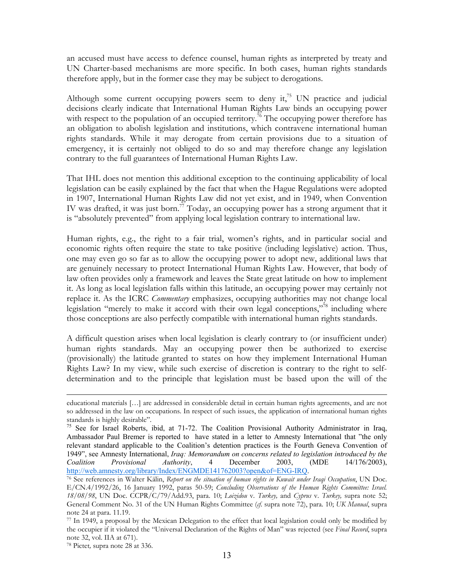an accused must have access to defence counsel, human rights as interpreted by treaty and UN Charter-based mechanisms are more specific. In both cases, human rights standards therefore apply, but in the former case they may be subject to derogations.

Although some current occupying powers seem to deny it,<sup>75</sup> UN practice and judicial decisions clearly indicate that International Human Rights Law binds an occupying power with respect to the population of an occupied territory.<sup>76</sup> The occupying power therefore has an obligation to abolish legislation and institutions, which contravene international human rights standards. While it may derogate from certain provisions due to a situation of emergency, it is certainly not obliged to do so and may therefore change any legislation contrary to the full guarantees of International Human Rights Law.

That IHL does not mention this additional exception to the continuing applicability of local legislation can be easily explained by the fact that when the Hague Regulations were adopted in 1907, International Human Rights Law did not yet exist, and in 1949, when Convention IV was drafted, it was just born.<sup>77</sup> Today, an occupying power has a strong argument that it is "absolutely prevented" from applying local legislation contrary to international law.

Human rights, e.g., the right to a fair trial, women's rights, and in particular social and economic rights often require the state to take positive (including legislative) action. Thus, one may even go so far as to allow the occupying power to adopt new, additional laws that are genuinely necessary to protect International Human Rights Law. However, that body of law often provides only a framework and leaves the State great latitude on how to implement it. As long as local legislation falls within this latitude, an occupying power may certainly not replace it. As the ICRC *Commentary* emphasizes, occupying authorities may not change local legislation "merely to make it accord with their own legal conceptions,"<sup>78</sup> including where those conceptions are also perfectly compatible with international human rights standards.

A difficult question arises when local legislation is clearly contrary to (or insufficient under) human rights standards. May an occupying power then be authorized to exercise (provisionally) the latitude granted to states on how they implement International Human Rights Law? In my view, while such exercise of discretion is contrary to the right to selfdetermination and to the principle that legislation must be based upon the will of the

educational materials […] are addressed in considerable detail in certain human rights agreements, and are not so addressed in the law on occupations. In respect of such issues, the application of international human rights standards is highly desirable".

<span id="page-13-0"></span><sup>&</sup>lt;sup>75</sup> See for Israel Roberts, ibid, at 71-72. The Coalition Provisional Authority Administrator in Iraq, Ambassador Paul Bremer is reported to have stated in a letter to Amnesty International that "the only relevant standard applicable to the Coalition's detention practices is the Fourth Geneva Convention of 1949", see Amnesty International, *Iraq: Memorandum on concerns related to legislation introduced by the Coalition Provisional Authority*, 4 December 2003, (MDE 14/176/2003), http://web.amnesty.org/library/Index/ENGMDE141762003?open&of=ENG-IRQ.

<span id="page-13-1"></span><sup>76</sup> See references in Walter Kälin, *Report on the situation of human rights in Kuwait under Iraqi Occupation*, UN Doc. E/CN.4/1992/26, 16 January 1992, paras 50-59; *Concluding Observations of the Human Rights Committee: Israel. 18/08/98*, UN Doc. CCPR/C/79/Add.93, para. 10; *Loizidou* v*. Turkey,* and *Cyprus* v*. Turkey,* supra note 52; General Comment No. 31 of the UN Human Rights Committee (*cf*. supra note 72), para. 10; *UK Manual*, supra note 24 at para. 11.19.

<span id="page-13-2"></span><sup>77</sup> In 1949, a proposal by the Mexican Delegation to the effect that local legislation could only be modified by the occupier if it violated the "Universal Declaration of the Rights of Man" was rejected (see *Final Record*, supra note 32, vol. IIA at 671).

<span id="page-13-3"></span><sup>78</sup> Pictet*,* supra note 28 at 336.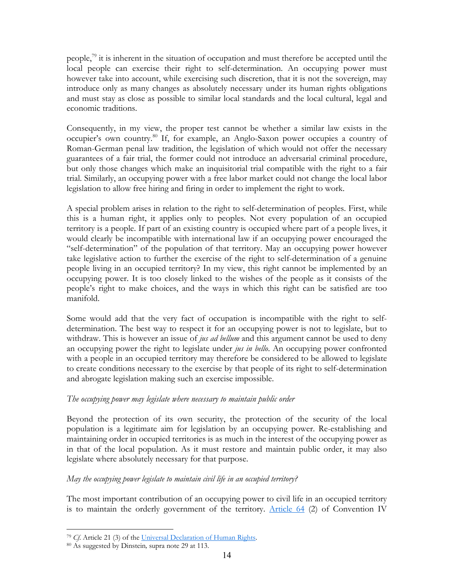people, $^{79}$  it is inherent in the situation of occupation and must therefore be accepted until the local people can exercise their right to self-determination. An occupying power must however take into account, while exercising such discretion, that it is not the sovereign, may introduce only as many changes as absolutely necessary under its human rights obligations and must stay as close as possible to similar local standards and the local cultural, legal and economic traditions.

Consequently, in my view, the proper test cannot be whether a similar law exists in the occupier's own country.<sup>80</sup> If, for example, an Anglo-Saxon power occupies a country of Roman-German penal law tradition, the legislation of which would not offer the necessary guarantees of a fair trial, the former could not introduce an adversarial criminal procedure, but only those changes which make an inquisitorial trial compatible with the right to a fair trial. Similarly, an occupying power with a free labor market could not change the local labor legislation to allow free hiring and firing in order to implement the right to work.

A special problem arises in relation to the right to self-determination of peoples. First, while this is a human right, it applies only to peoples. Not every population of an occupied territory is a people. If part of an existing country is occupied where part of a people lives, it would clearly be incompatible with international law if an occupying power encouraged the "self-determination" of the population of that territory. May an occupying power however take legislative action to further the exercise of the right to self-determination of a genuine people living in an occupied territory? In my view, this right cannot be implemented by an occupying power. It is too closely linked to the wishes of the people as it consists of the people's right to make choices, and the ways in which this right can be satisfied are too manifold.

Some would add that the very fact of occupation is incompatible with the right to selfdetermination. The best way to respect it for an occupying power is not to legislate, but to withdraw. This is however an issue of *jus ad bellum* and this argument cannot be used to deny an occupying power the right to legislate under *jus in bello*. An occupying power confronted with a people in an occupied territory may therefore be considered to be allowed to legislate to create conditions necessary to the exercise by that people of its right to self-determination and abrogate legislation making such an exercise impossible.

# *The occupying power may legislate where necessary to maintain public order*

Beyond the protection of its own security, the protection of the security of the local population is a legitimate aim for legislation by an occupying power. Re-establishing and maintaining order in occupied territories is as much in the interest of the occupying power as in that of the local population. As it must restore and maintain public order, it may also legislate where absolutely necessary for that purpose.

# *May the occupying power legislate to maintain civil life in an occupied territory?*

The most important contribution of an occupying power to civil life in an occupied territory is to maintain the orderly government of the territory. Article  $64$  (2) of Convention IV

<span id="page-14-0"></span><sup>79</sup> *Cf*. Article 21 (3) of the Universal Declaration of Human Rights. 80 As suggested by Dinstein*,* supra note 29 at 113.

<span id="page-14-1"></span>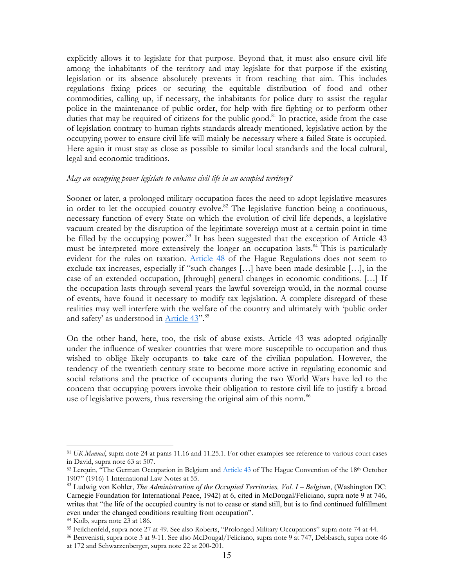explicitly allows it to legislate for that purpose. Beyond that, it must also ensure civil life among the inhabitants of the territory and may legislate for that purpose if the existing legislation or its absence absolutely prevents it from reaching that aim. This includes regulations fixing prices or securing the equitable distribution of food and other commodities, calling up, if necessary, the inhabitants for police duty to assist the regular police in the maintenance of public order, for help with fire fighting or to perform other duties that may be required of citizens for the public good.<sup>81</sup> In practice, aside from the case of legislation contrary to human rights standards already mentioned, legislative action by the occupying power to ensure civil life will mainly be necessary where a failed State is occupied. Here again it must stay as close as possible to similar local standards and the local cultural, legal and economic traditions.

#### *May an occupying power legislate to enhance civil life in an occupied territory?*

Sooner or later, a prolonged military occupation faces the need to adopt legislative measures in order to let the occupied country evolve.<sup>82</sup> The legislative function being a continuous, necessary function of every State on which the evolution of civil life depends, a legislative vacuum created by the disruption of the legitimate sovereign must at a certain point in time be filled by the occupying power.<sup>83</sup> It has been suggested that the exception of Article 43 must be interpreted more extensively the longer an occupation lasts.<sup>84</sup> This is particularly evident for the rules on taxation. Article 48 of the Hague Regulations does not seem to exclude tax increases, especially if "such changes […] have been made desirable […], in the case of an extended occupation, [through] general changes in economic conditions. […] If the occupation lasts through several years the lawful sovereign would, in the normal course of events, have found it necessary to modify tax legislation. A complete disregard of these realities may well interfere with the welfare of the country and ultimately with 'public order and safety' as understood in Article 43".<sup>[85](#page-15-4)</sup>

On the other hand, here, too, the risk of abuse exists. Article 43 was adopted originally under the influence of weaker countries that were more susceptible to occupation and thus wished to oblige likely occupants to take care of the civilian population. However, the tendency of the twentieth century state to become more active in regulating economic and social relations and the practice of occupants during the two World Wars have led to the concern that occupying powers invoke their obligation to restore civil life to justify a broad use of legislative powers, thus reversing the original aim of this norm.<sup>86</sup>

<span id="page-15-0"></span><sup>81</sup> *UK Manual*, supra note 24 at paras 11.16 and 11.25.1. For other examples see reference to various court cases in David, supra note 63 at 507.<br><sup>82</sup> Lerquin, "The German Occupation in Belgium and Article 43 of The Hague Convention of the 18<sup>th</sup> October

<span id="page-15-1"></span><sup>1907&</sup>quot; (1916) 1 International Law Notes at 55.<br><sup>83</sup> Ludwig von Kohler, *The Administration of the Occupied Territories, Vol. I – Belgium*, (Washington DC:

<span id="page-15-2"></span>Carnegie Foundation for International Peace, 1942) at 6, cited in McDougal/Feliciano, supra note 9 at 746, writes that "the life of the occupied country is not to cease or stand still, but is to find continued fulfillment even under the changed conditions resulting from occupation".

<span id="page-15-3"></span>

<span id="page-15-4"></span><sup>&</sup>lt;sup>84</sup> Kolb, supra note 23 at 186.<br><sup>85</sup> Feilchenfeld, supra note 27 at 49. See also Roberts, "Prolonged Military Occupations" supra note 74 at 44.<br><sup>86</sup> Benvenisti, supra note 3 at 9-11. See also McDougal/Feliciano, supra not

<span id="page-15-5"></span>at 172 and Schwarzenberger, supra note 22 at 200-201.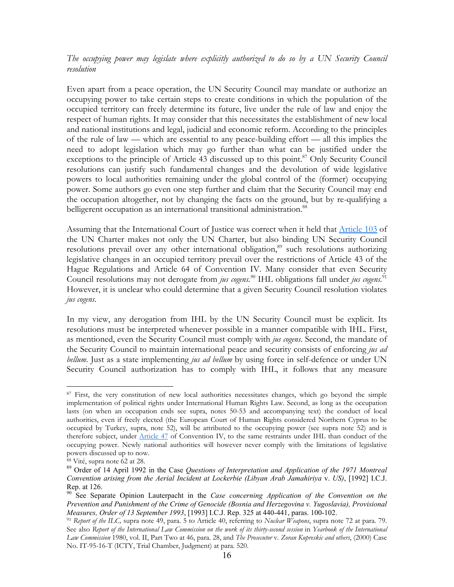*The occupying power may legislate where explicitly authorized to do so by a UN Security Council resolution* 

Even apart from a peace operation, the UN Security Council may mandate or authorize an occupying power to take certain steps to create conditions in which the population of the occupied territory can freely determine its future, live under the rule of law and enjoy the respect of human rights. It may consider that this necessitates the establishment of new local and national institutions and legal, judicial and economic reform. According to the principles of the rule of law — which are essential to any peace-building effort — all this implies the need to adopt legislation which may go further than what can be justified under the exceptions to the principle of Article 43 discussed up to this point.<sup>87</sup> Only Security Council resolutions can justify such fundamental changes and the devolution of wide legislative powers to local authorities remaining under the global control of the (former) occupying power. Some authors go even one step further and claim that the Security Council may end the occupation altogether, not by changing the facts on the ground, but by re-qualifying a belligerent occupation as an international transitional administration.<sup>[88](#page-16-1)</sup>

Assuming that the International Court of Justice was correct when it held that Article 103 of the UN Charter makes not only the UN Charter, but also binding UN Security Council resolutions prevail over any other international obligation,<sup>89</sup> such resolutions authorizing legislative changes in an occupied territory prevail over the restrictions of Article 43 of the Hague Regulations and Article 64 of Convention IV. Many consider that even Security Council resolutions may not derogate from *jus cogens.[90](#page-16-3)* IHL obligations fall under *jus cogens*. [91](#page-16-4) However, it is unclear who could determine that a given Security Council resolution violates *jus cogens*.

In my view, any derogation from IHL by the UN Security Council must be explicit. Its resolutions must be interpreted whenever possible in a manner compatible with IHL. First, as mentioned, even the Security Council must comply with *jus cogens*. Second, the mandate of the Security Council to maintain international peace and security consists of enforcing *jus ad bellum*. Just as a state implementing *jus ad bellum* by using force in self-defence or under UN Security Council authorization has to comply with IHL, it follows that any measure

<span id="page-16-0"></span><sup>&</sup>lt;sup>87</sup> First, the very constitution of new local authorities necessitates changes, which go beyond the simple implementation of political rights under International Human Rights Law. Second, as long as the occupation lasts (on when an occupation ends see supra, notes 50-53 and accompanying text) the conduct of local authorities, even if freely elected (the European Court of Human Rights considered Northern Cyprus to be occupied by Turkey, supra, note 52), will be attributed to the occupying power (see supra note 52) and is therefore subject, under Article 47 of Convention IV, to the same restraints under IHL than conduct of the occupying power. Newly national authorities will however never comply with the limitations of legislative powers discussed up to now.

<span id="page-16-1"></span><sup>88</sup> Vité, supra note 62 at 28.

<span id="page-16-2"></span><sup>89</sup> Order of 14 April 1992 in the Case *Questions of Interpretation and Application of the 1971 Montreal Convention arising from the Aerial Incident at Lockerbie (Libyan Arab Jamahiriya* v. *US)*, [1992] I.C.J. Rep. at 126.

<span id="page-16-3"></span><sup>90</sup> See Separate Opinion Lauterpacht in the *Case concerning Application of the Convention on the Prevention and Punishment of the Crime of Genocide (Bosnia and Herzegovina v. Yugoslavia), Provisional Measures, Order of 13 September 1993*, [1993] I.C.J. Rep. 325 at 440-441, paras. 100-102.

<span id="page-16-4"></span><sup>91</sup> *Report of the ILC,* supra note 49, para. 5 to Article 40, referring to *Nuclear Weapons*, supra note 72 at para. 79. See also *Report of the International Law Commission on the work of its thirty-second session* in *Yearbook of the International Law Commission* 1980, vol. II, Part Two at 46, para. 28, and *The Prosecutor* v*. Zoran Kupreskic and others*, (2000) Case No. IT-95-16-T (ICTY, Trial Chamber, Judgment) at para. 520.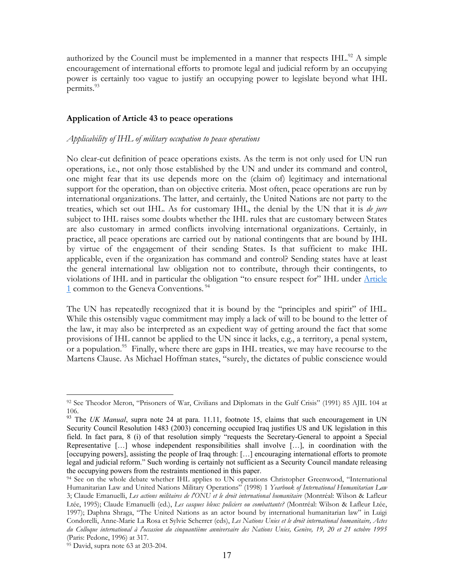authorized by the Council must be implemented in a manner that respects  $IHL$ .<sup>92</sup> A simple encouragement of international efforts to promote legal and judicial reform by an occupying power is certainly too vague to justify an occupying power to legislate beyond what IHL permits.<sup>[93](#page-17-1)</sup>

#### **Application of Article 43 to peace operations**

#### *Applicability of IHL of military occupation to peace operations*

No clear-cut definition of peace operations exists. As the term is not only used for UN run operations, i.e., not only those established by the UN and under its command and control, one might fear that its use depends more on the (claim of) legitimacy and international support for the operation, than on objective criteria. Most often, peace operations are run by international organizations. The latter, and certainly, the United Nations are not party to the treaties, which set out IHL. As for customary IHL, the denial by the UN that it is *de jure* subject to IHL raises some doubts whether the IHL rules that are customary between States are also customary in armed conflicts involving international organizations. Certainly, in practice, all peace operations are carried out by national contingents that are bound by IHL by virtue of the engagement of their sending States. Is that sufficient to make IHL applicable, even if the organization has command and control? Sending states have at least the general international law obligation not to contribute, through their contingents, to violations of IHL and in particular the obligation "to ensure respect for" IHL under Article 1 common to the Geneva Conventions. [94](#page-17-2)

The UN has repeatedly recognized that it is bound by the "principles and spirit" of IHL. While this ostensibly vague commitment may imply a lack of will to be bound to the letter of the law, it may also be interpreted as an expedient way of getting around the fact that some provisions of IHL cannot be applied to the UN since it lacks, e.g., a territory, a penal system, or a population.<sup>95</sup> Finally, where there are gaps in IHL treaties, we may have recourse to the Martens Clause. As Michael Hoffman states, "surely, the dictates of public conscience would

<span id="page-17-0"></span><sup>92</sup> See Theodor Meron, "Prisoners of War, Civilians and Diplomats in the Gulf Crisis" (1991) 85 AJIL 104 at 106.

<span id="page-17-1"></span><sup>&</sup>lt;sup>93</sup> The *UK Manual*, supra note 24 at para. 11.11, footnote 15, claims that such encouragement in UN Security Council Resolution 1483 (2003) concerning occupied Iraq justifies US and UK legislation in this field. In fact para, 8 (i) of that resolution simply "requests the Secretary-General to appoint a Special Representative […] whose independent responsibilities shall involve […], in coordination with the [occupying powers], assisting the people of Iraq through: […] encouraging international efforts to promote legal and judicial reform." Such wording is certainly not sufficient as a Security Council mandate releasing the occupying powers from the restraints mentioned in this paper.

<span id="page-17-2"></span><sup>&</sup>lt;sup>94</sup> See on the whole debate whether IHL applies to UN operations Christopher Greenwood, "International Humanitarian Law and United Nations Military Operations" (1998) 1 *Yearbook of International Humanitarian Law* 3; Claude Emanuelli, *Les actions militaires de l'ONU et le droit international humanitaire* (Montréal: Wilson & Lafleur Ltée, 1995); Claude Emanuelli (ed.), *Les casques bleus: policiers ou combattants?* (Montréal: Wilson & Lafleur Ltée, 1997); Daphna Shraga, "The United Nations as an actor bound by international humanitarian law" in Luigi Condorelli, Anne-Marie La Rosa et Sylvie Scherrer (eds), *Les Nations Unies et le droit international humanitaire, Actes du Colloque international à l'occasion du cinquantième anniversaire des Nations Unies, Genève, 19, 20 et 21 octobre 1995* (Paris: Pedone, 1996) at 317.

<span id="page-17-3"></span><sup>95</sup> David, supra note 63 at 203-204.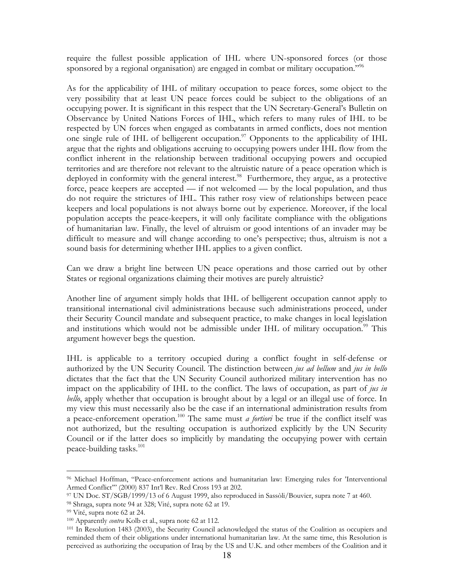<span id="page-18-5"></span>require the fullest possible application of IHL where UN-sponsored forces (or those sponsored by a regional organisation) are engaged in combat or military occupation."<sup>[96](#page-18-0)</sup>

As for the applicability of IHL of military occupation to peace forces, some object to the very possibility that at least UN peace forces could be subject to the obligations of an occupying power. It is significant in this respect that the UN Secretary-General's Bulletin on Observance by United Nations Forces of IHL, which refers to many rules of IHL to be respected by UN forces when engaged as combatants in armed conflicts, does not mention one single rule of IHL of belligerent occupation.<sup>97</sup> Opponents to the applicability of IHL argue that the rights and obligations accruing to occupying powers under IHL flow from the conflict inherent in the relationship between traditional occupying powers and occupied territories and are therefore not relevant to the altruistic nature of a peace operation which is deployed in conformity with the general interest.<sup>98</sup> Furthermore, they argue, as a protective force, peace keepers are accepted — if not welcomed — by the local population, and thus do not require the strictures of IHL. This rather rosy view of relationships between peace keepers and local populations is not always borne out by experience. Moreover, if the local population accepts the peace-keepers, it will only facilitate compliance with the obligations of humanitarian law. Finally, the level of altruism or good intentions of an invader may be difficult to measure and will change according to one's perspective; thus, altruism is not a sound basis for determining whether IHL applies to a given conflict.

Can we draw a bright line between UN peace operations and those carried out by other States or regional organizations claiming their motives are purely altruistic?

Another line of argument simply holds that IHL of belligerent occupation cannot apply to transitional international civil administrations because such administrations proceed, under their Security Council mandate and subsequent practice, to make changes in local legislation and institutions which would not be admissible under IHL of military occupation.<sup>99</sup> This argument however begs the question.

IHL is applicable to a territory occupied during a conflict fought in self-defense or authorized by the UN Security Council. The distinction between *jus ad bellum* and *jus in bello* dictates that the fact that the UN Security Council authorized military intervention has no impact on the applicability of IHL to the conflict. The laws of occupation, as part of *jus in bello*, apply whether that occupation is brought about by a legal or an illegal use of force. In my view this must necessarily also be the case if an international administration results from a peace-enforcement operation[.100](#page-18-4) The same must *a fortiori* be true if the conflict itself was not authorized, but the resulting occupation is authorized explicitly by the UN Security Council or if the latter does so implicitly by mandating the occupying power with certain peace-building tasks. $^{101}$  $^{101}$  $^{101}$ 

<span id="page-18-0"></span><sup>96</sup> Michael Hoffman, "Peace-enforcement actions and humanitarian law: Emerging rules for 'Interventional Armed Conflict"' (2000) 837 Int'l Rev. Red Cross 193 at 202.<br><sup>97</sup> UN Doc. ST/SGB/1999/13 of 6 August 1999, also reproduced in Sassòli/Bouvier, supra note 7 at 460.<br><sup>98</sup> Shraga, supra note 94 at 328; Vité, supra note 62 at

<span id="page-18-1"></span>

<span id="page-18-2"></span>

<span id="page-18-3"></span>

<span id="page-18-4"></span>

<sup>&</sup>lt;sup>100</sup> Apparently *contra* Kolb et al., supra note 62 at 112.<br><sup>101</sup> In Resolution 1483 (2003), the Security Council acknowledged the status of the Coalition as occupiers and reminded them of their obligations under international humanitarian law. At the same time, this Resolution is perceived as authorizing the occupation of Iraq by the US and U.K. and other members of the Coalition and it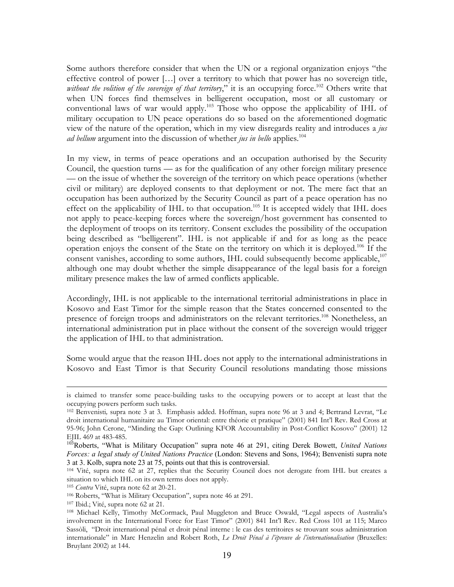Some authors therefore consider that when the UN or a regional organization enjoys "the effective control of power […] over a territory to which that power has no sovereign title, without the volition of the sovereign of that territory," it is an occupying force.<sup>102</sup> Others write that when UN forces find themselves in belligerent occupation, most or all customary or conventional laws of war would apply[.103](#page-19-1) Those who oppose the applicability of IHL of military occupation to UN peace operations do so based on the aforementioned dogmatic view of the nature of the operation, which in my view disregards reality and introduces a *jus ad bellum* argument into the discussion of whether *jus in bello* applies.<sup>104</sup>

In my view, in terms of peace operations and an occupation authorised by the Security Council, the question turns — as for the qualification of any other foreign military presence — on the issue of whether the sovereign of the territory on which peace operations (whether civil or military) are deployed consents to that deployment or not. The mere fact that an occupation has been authorized by the Security Council as part of a peace operation has no effect on the applicability of IHL to that occupation.<sup>105</sup> It is accepted widely that IHL does not apply to peace-keeping forces where the sovereign/host government has consented to the deployment of troops on its territory. Consent excludes the possibility of the occupation being described as "belligerent". IHL is not applicable if and for as long as the peace operation enjoys the consent of the State on the territory on which it is deployed.<sup>106</sup> If the consent vanishes, according to some authors, IHL could subsequently become applicable,<sup>[107](#page-19-5)</sup> although one may doubt whether the simple disappearance of the legal basis for a foreign military presence makes the law of armed conflicts applicable.

Accordingly, IHL is not applicable to the international territorial administrations in place in Kosovo and East Timor for the simple reason that the States concerned consented to the presence of foreign troops and administrators on the relevant territories.<sup>108</sup> Nonetheless, an international administration put in place without the consent of the sovereign would trigger the application of IHL to that administration.

Some would argue that the reason IHL does not apply to the international administrations in Kosovo and East Timor is that Security Council resolutions mandating those missions

is claimed to transfer some peace-building tasks to the occupying powers or to accept at least that the occupying powers perform such tasks. 102 Benvenisti*,* supra note 3 at 3. Emphasis added. Hoffman, supra note 96 at 3 and 4; Bertrand Levrat, "Le

<span id="page-19-0"></span>droit international humanitaire au Timor oriental: entre théorie et pratique" (2001) 841 Int'l Rev. Red Cross at 95-96; John Cerone, "Minding the Gap: Outlining KFOR Accountability in Post-Conflict Kosovo" (2001) 12 EJIL 469 at 483-485.

<span id="page-19-1"></span><sup>103</sup>Roberts, "What is Military Occupation" supra note 46 at 291, citing Derek Bowett, *United Nations Forces: a legal study of United Nations Practice* (London: Stevens and Sons, 1964); Benvenisti supra note 3 at 3. Kolb, supra note 23 at 75, points out that this is controversial.

<span id="page-19-2"></span><sup>104</sup> Vité, supra note 62 at 27, replies that the Security Council does not derogate from IHL but creates a situation to which IHL on its own terms does not apply.

<span id="page-19-3"></span>

<span id="page-19-4"></span>

<span id="page-19-6"></span><span id="page-19-5"></span>

<sup>&</sup>lt;sup>105</sup> Contra Vité, supra note 62 at 20-21.<br><sup>106</sup> Roberts, "What is Military Occupation", supra note 46 at 291.<br><sup>107</sup> Ibid.; Vité, supra note 62 at 21.<br><sup>108</sup> Michael Kelly, Timothy McCormack, Paul Muggleton and Bruce Oswald involvement in the International Force for East Timor" (2001) 841 Int'l Rev. Red Cross 101 at 115; Marco Sassòli, "Droit international pénal et droit pénal interne : le cas des territoires se trouvant sous administration internationale" in Marc Henzelin and Robert Roth, *Le Droit Pénal à l'épreuve de l'internationalisation* (Bruxelles: Bruylant 2002) at 144.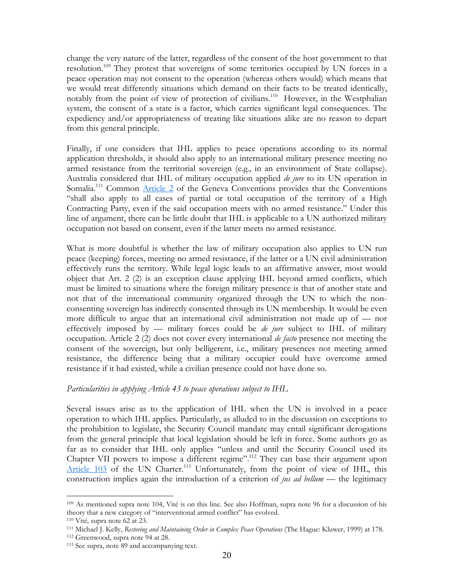change the very nature of the latter, regardless of the consent of the host government to that resolution.<sup>109</sup> They protest that sovereigns of some territories occupied by UN forces in a peace operation may not consent to the operation (whereas others would) which means that we would treat differently situations which demand on their facts to be treated identically, notably from the point of view of protection of civilians.<sup>110</sup> However, in the Westphalian system, the consent of a state is a factor, which carries significant legal consequences. The expediency and/or appropriateness of treating like situations alike are no reason to depart from this general principle.

Finally, if one considers that IHL applies to peace operations according to its normal application thresholds, it should also apply to an international military presence meeting no armed resistance from the territorial sovereign (e.g., in an environment of State collapse). Australia considered that IHL of military occupation applied *de jure* to its UN operation in Somalia.<sup>111</sup> Common Article 2 of the Geneva Conventions provides that the Conventions "shall also apply to all cases of partial or total occupation of the territory of a High Contracting Party, even if the said occupation meets with no armed resistance." Under this line of argument, there can be little doubt that IHL is applicable to a UN authorized military occupation not based on consent, even if the latter meets no armed resistance.

What is more doubtful is whether the law of military occupation also applies to UN run peace (keeping) forces, meeting no armed resistance, if the latter or a UN civil administration effectively runs the territory. While legal logic leads to an affirmative answer, most would object that Art. 2 (2) is an exception clause applying IHL beyond armed conflicts, which must be limited to situations where the foreign military presence is that of another state and not that of the international community organized through the UN to which the nonconsenting sovereign has indirectly consented through its UN membership. It would be even more difficult to argue that an international civil administration not made up of — nor effectively imposed by — military forces could be *de jure* subject to IHL of military occupation. Article 2 (2) does not cover every international *de facto* presence not meeting the consent of the sovereign, but only belligerent, i.e., military presences not meeting armed resistance, the difference being that a military occupier could have overcome armed resistance if it had existed, while a civilian presence could not have done so.

#### *Particularities in applying Article 43 to peace operations subject to IHL*

Several issues arise as to the application of IHL when the UN is involved in a peace operation to which IHL applies. Particularly, as alluded to in the discussion on exceptions to the prohibition to legislate, the Security Council mandate may entail significant derogations from the general principle that local legislation should be left in force. Some authors go as far as to consider that IHL only applies "unless and until the Security Council used its Chapter VII powers to impose a different regime"[.112](#page-20-3) They can base their argument upon Article  $103$  of the UN Charter.<sup>113</sup> Unfortunately, from the point of view of IHL, this construction implies again the introduction of a criterion of *jus ad bellum* — the legitimacy

<span id="page-20-0"></span><sup>109</sup> As mentioned supra note 104, Vité is on this line. See also Hoffman, supra note 96 for a discussion of his theory that a new category of "interventional armed conflict" has evolved.<br><sup>110</sup> Vité, supra note 62 at 23.<br><sup>111</sup> Michael J. Kelly, *Restoring and Maintaining Order in Complex Peace Operations* (The Hague: Kluwer, 1999) at

<span id="page-20-1"></span>

<span id="page-20-2"></span>

<span id="page-20-3"></span>

<span id="page-20-4"></span>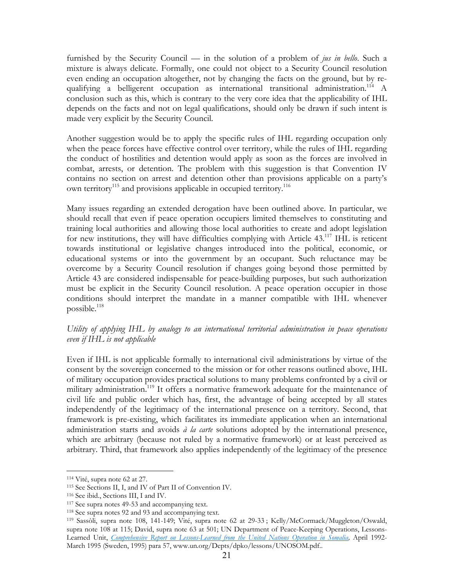furnished by the Security Council — in the solution of a problem of *jus in bello*. Such a mixture is always delicate. Formally, one could not object to a Security Council resolution even ending an occupation altogether, not by changing the facts on the ground, but by requalifying a belligerent occupation as international transitional administration.<sup>114</sup> A conclusion such as this, which is contrary to the very core idea that the applicability of IHL depends on the facts and not on legal qualifications, should only be drawn if such intent is made very explicit by the Security Council.

Another suggestion would be to apply the specific rules of IHL regarding occupation only when the peace forces have effective control over territory, while the rules of IHL regarding the conduct of hostilities and detention would apply as soon as the forces are involved in combat, arrests, or detention. The problem with this suggestion is that Convention IV contains no section on arrest and detention other than provisions applicable on a party's own territory<sup>115</sup> and provisions applicable in occupied territory.<sup>116</sup>

Many issues regarding an extended derogation have been outlined above. In particular, we should recall that even if peace operation occupiers limited themselves to constituting and training local authorities and allowing those local authorities to create and adopt legislation for new institutions, they will have difficulties complying with Article  $43<sup>117</sup>$  IHL is reticent towards institutional or legislative changes introduced into the political, economic, or educational systems or into the government by an occupant. Such reluctance may be overcome by a Security Council resolution if changes going beyond those permitted by Article 43 are considered indispensable for peace-building purposes, but such authorization must be explicit in the Security Council resolution. A peace operation occupier in those conditions should interpret the mandate in a manner compatible with IHL whenever possible. $^{118}$ 

# *Utility of applying IHL by analogy to an international territorial administration in peace operations even if IHL is not applicable*

Even if IHL is not applicable formally to international civil administrations by virtue of the consent by the sovereign concerned to the mission or for other reasons outlined above, IHL of military occupation provides practical solutions to many problems confronted by a civil or military administration.<sup>119</sup> It offers a normative framework adequate for the maintenance of civil life and public order which has, first, the advantage of being accepted by all states independently of the legitimacy of the international presence on a territory. Second, that framework is pre-existing, which facilitates its immediate application when an international administration starts and avoids *à la carte* solutions adopted by the international presence, which are arbitrary (because not ruled by a normative framework) or at least perceived as arbitrary. Third, that framework also applies independently of the legitimacy of the presence

<span id="page-21-0"></span>

<span id="page-21-1"></span>

<span id="page-21-2"></span>

<span id="page-21-3"></span>

<span id="page-21-5"></span><span id="page-21-4"></span>

<sup>&</sup>lt;sup>114</sup> Vité, supra note 62 at 27.<br>
<sup>115</sup> See Sections II, I, and IV of Part II of Convention IV.<br>
<sup>116</sup> See ibid., Sections III, I and IV.<br>
<sup>117</sup> See supra notes 49-53 and accompanying text.<br>
<sup>118</sup> See supra notes 92 and 93 supra note 108 at 115; David, supra note 63 at 501; UN Department of Peace-Keeping Operations, Lessons-Learned Unit, *Comprehensive Report on Lessons-Learned from the United Nations Operation in Somalia,* April 1992- March 1995 (Sweden, 1995) para 57, www.un.org/Depts/dpko/lessons/UNOSOM.pdf..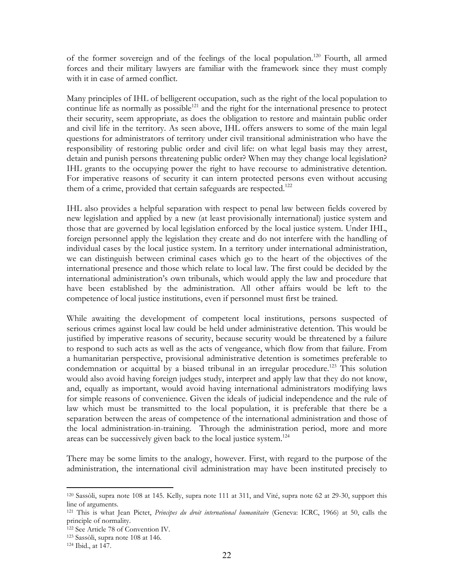of the former sovereign and of the feelings of the local population.<sup>120</sup> Fourth, all armed forces and their military lawyers are familiar with the framework since they must comply with it in case of armed conflict.

Many principles of IHL of belligerent occupation, such as the right of the local population to continue life as normally as possible $121$  and the right for the international presence to protect their security, seem appropriate, as does the obligation to restore and maintain public order and civil life in the territory. As seen above, IHL offers answers to some of the main legal questions for administrators of territory under civil transitional administration who have the responsibility of restoring public order and civil life: on what legal basis may they arrest, detain and punish persons threatening public order? When may they change local legislation? IHL grants to the occupying power the right to have recourse to administrative detention. For imperative reasons of security it can intern protected persons even without accusing them of a crime, provided that certain safeguards are respected.<sup>122</sup>

IHL also provides a helpful separation with respect to penal law between fields covered by new legislation and applied by a new (at least provisionally international) justice system and those that are governed by local legislation enforced by the local justice system. Under IHL, foreign personnel apply the legislation they create and do not interfere with the handling of individual cases by the local justice system. In a territory under international administration, we can distinguish between criminal cases which go to the heart of the objectives of the international presence and those which relate to local law. The first could be decided by the international administration's own tribunals, which would apply the law and procedure that have been established by the administration. All other affairs would be left to the competence of local justice institutions, even if personnel must first be trained.

While awaiting the development of competent local institutions, persons suspected of serious crimes against local law could be held under administrative detention. This would be justified by imperative reasons of security, because security would be threatened by a failure to respond to such acts as well as the acts of vengeance, which flow from that failure. From a humanitarian perspective, provisional administrative detention is sometimes preferable to condemnation or acquittal by a biased tribunal in an irregular procedure.<sup>123</sup> This solution would also avoid having foreign judges study, interpret and apply law that they do not know, and, equally as important, would avoid having international administrators modifying laws for simple reasons of convenience. Given the ideals of judicial independence and the rule of law which must be transmitted to the local population, it is preferable that there be a separation between the areas of competence of the international administration and those of the local administration-in-training. Through the administration period, more and more areas can be successively given back to the local justice system.<sup>124</sup>

There may be some limits to the analogy, however. First, with regard to the purpose of the administration, the international civil administration may have been instituted precisely to

<span id="page-22-0"></span><sup>120</sup> Sassòli, supra note 108 at 145. Kelly, supra note 111 at 311, and Vité, supra note 62 at 29-30, support this line of arguments.

<span id="page-22-1"></span><sup>121</sup> This is what Jean Pictet, *Principes du droit international humanitaire* (Geneva: ICRC, 1966) at 50, calls the principle of normality.<br><sup>122</sup> See Article 78 of Convention IV.

<span id="page-22-2"></span>

<span id="page-22-3"></span><sup>&</sup>lt;sup>123</sup> Sassòli, supra note 108 at 146.<br><sup>124</sup> Ibid., at 147.

<span id="page-22-4"></span>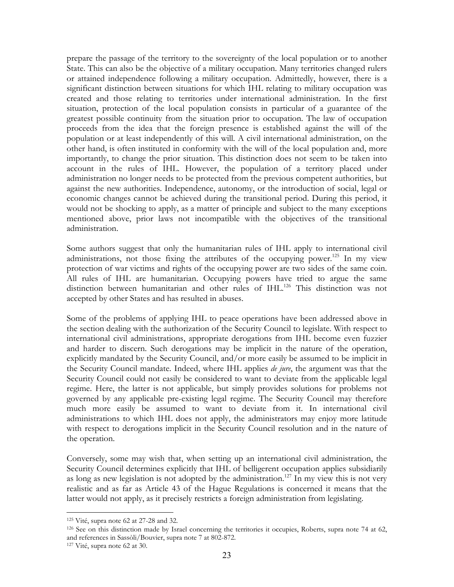prepare the passage of the territory to the sovereignty of the local population or to another State. This can also be the objective of a military occupation. Many territories changed rulers or attained independence following a military occupation. Admittedly, however, there is a significant distinction between situations for which IHL relating to military occupation was created and those relating to territories under international administration. In the first situation, protection of the local population consists in particular of a guarantee of the greatest possible continuity from the situation prior to occupation. The law of occupation proceeds from the idea that the foreign presence is established against the will of the population or at least independently of this will. A civil international administration, on the other hand, is often instituted in conformity with the will of the local population and, more importantly, to change the prior situation. This distinction does not seem to be taken into account in the rules of IHL. However, the population of a territory placed under administration no longer needs to be protected from the previous competent authorities, but against the new authorities. Independence, autonomy, or the introduction of social, legal or economic changes cannot be achieved during the transitional period. During this period, it would not be shocking to apply, as a matter of principle and subject to the many exceptions mentioned above, prior laws not incompatible with the objectives of the transitional administration.

Some authors suggest that only the humanitarian rules of IHL apply to international civil administrations, not those fixing the attributes of the occupying power.<sup>125</sup> In my view protection of war victims and rights of the occupying power are two sides of the same coin. All rules of IHL are humanitarian. Occupying powers have tried to argue the same distinction between humanitarian and other rules of IHL.<sup>126</sup> This distinction was not accepted by other States and has resulted in abuses.

Some of the problems of applying IHL to peace operations have been addressed above in the section dealing with the authorization of the Security Council to legislate. With respect to international civil administrations, appropriate derogations from IHL become even fuzzier and harder to discern. Such derogations may be implicit in the nature of the operation, explicitly mandated by the Security Council, and/or more easily be assumed to be implicit in the Security Council mandate. Indeed, where IHL applies *de jure*, the argument was that the Security Council could not easily be considered to want to deviate from the applicable legal regime. Here, the latter is not applicable, but simply provides solutions for problems not governed by any applicable pre-existing legal regime. The Security Council may therefore much more easily be assumed to want to deviate from it. In international civil administrations to which IHL does not apply, the administrators may enjoy more latitude with respect to derogations implicit in the Security Council resolution and in the nature of the operation.

Conversely, some may wish that, when setting up an international civil administration, the Security Council determines explicitly that IHL of belligerent occupation applies subsidiarily as long as new legislation is not adopted by the administration.<sup>127</sup> In my view this is not very realistic and as far as Article 43 of the Hague Regulations is concerned it means that the latter would not apply, as it precisely restricts a foreign administration from legislating.

<span id="page-23-1"></span><span id="page-23-0"></span>

<sup>&</sup>lt;sup>125</sup> Vité, supra note 62 at 27-28 and 32.<br><sup>126</sup> See on this distinction made by Israel concerning the territories it occupies, Roberts, supra note 74 at 62, and references in Sassòli/Bouvier, supra note 7 at 802-872.

<span id="page-23-2"></span><sup>127</sup> Vité, supra note 62 at 30.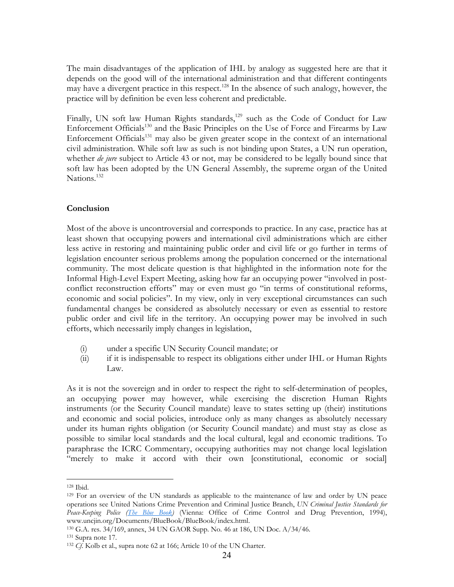The main disadvantages of the application of IHL by analogy as suggested here are that it depends on the good will of the international administration and that different contingents may have a divergent practice in this respect.<sup>128</sup> In the absence of such analogy, however, the practice will by definition be even less coherent and predictable.

Finally, UN soft law Human Rights standards,<sup>129</sup> such as the Code of Conduct for Law Enforcement Officials<sup>130</sup> and the Basic Principles on the Use of Force and Firearms by Law Enforcement Officials<sup>131</sup> may also be given greater scope in the context of an international civil administration. While soft law as such is not binding upon States, a UN run operation, whether *de jure* subject to Article 43 or not, may be considered to be legally bound since that soft law has been adopted by the UN General Assembly, the supreme organ of the United Nations.<sup>[132](#page-24-4)</sup>

# **Conclusion**

Most of the above is uncontroversial and corresponds to practice. In any case, practice has at least shown that occupying powers and international civil administrations which are either less active in restoring and maintaining public order and civil life or go further in terms of legislation encounter serious problems among the population concerned or the international community. The most delicate question is that highlighted in the information note for the Informal High-Level Expert Meeting, asking how far an occupying power "involved in postconflict reconstruction efforts" may or even must go "in terms of constitutional reforms, economic and social policies". In my view, only in very exceptional circumstances can such fundamental changes be considered as absolutely necessary or even as essential to restore public order and civil life in the territory. An occupying power may be involved in such efforts, which necessarily imply changes in legislation,

- (i) under a specific UN Security Council mandate; or
- (ii) if it is indispensable to respect its obligations either under IHL or Human Rights Law.

As it is not the sovereign and in order to respect the right to self-determination of peoples, an occupying power may however, while exercising the discretion Human Rights instruments (or the Security Council mandate) leave to states setting up (their) institutions and economic and social policies, introduce only as many changes as absolutely necessary under its human rights obligation (or Security Council mandate) and must stay as close as possible to similar local standards and the local cultural, legal and economic traditions. To paraphrase the ICRC Commentary, occupying authorities may not change local legislation "merely to make it accord with their own [constitutional, economic or social]

<span id="page-24-1"></span><span id="page-24-0"></span>

<sup>&</sup>lt;sup>128</sup> Ibid.<br><sup>129</sup> For an overview of the UN standards as applicable to the maintenance of law and order by UN peace operations see United Nations Crime Prevention and Criminal Justice Branch, *UN Criminal Justice Standards for Peace-Keeping Police (The Blue Book)* (Vienna: Office of Crime Control and Drug Prevention, 1994),

<span id="page-24-2"></span>www.uncjin.org/Documents/BlueBook/BlueBook/index.html.<br><sup>130</sup> G.A. res. 34/169, annex, 34 UN GAOR Supp. No. 46 at 186, UN Doc. A/34/46.<br><sup>131</sup> Supra note 17.<br><sup>132</sup> Cf. Kolb et al., supra note 62 at 166; Article 10 of the UN

<span id="page-24-3"></span>

<span id="page-24-4"></span>